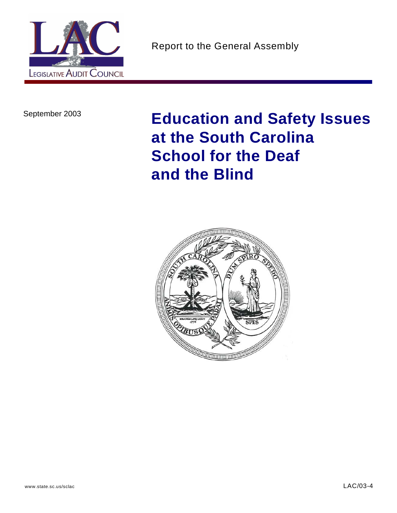

Report to the General Assembly

September 2003 **Education and Safety Issues at the South Carolina School for the Deaf and the Blind**

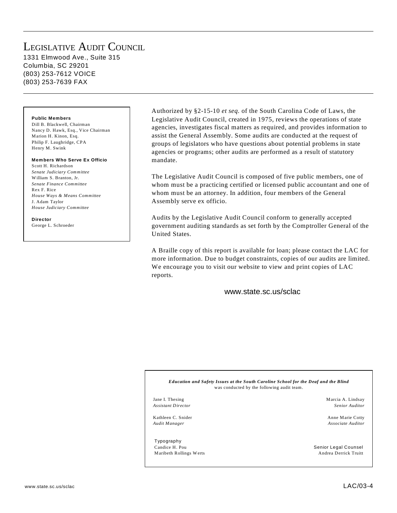## LEGISLATIVE AUDIT COUNCIL

1331 Elmwood Ave., Suite 315 Columbia, SC 29201 (803) 253-7612 VOICE (803) 253-7639 FAX

#### **Public Members**

Dill B. Blackwell, Chairman Nancy D. Hawk, Esq., Vice Chairman Marion H. Kinon, Esq. Philip F. Laughridge, CPA Henry M. Swink

#### **Members Who Serve Ex Officio**

Scott H. Richardson *Senate Judiciary Committee* William S. Branton, Jr. *Senate Finance Committee* Rex F. Rice *House Ways & Means Committee* J. Adam Taylor *House Judiciary Committee*

**Director** George L. Schroeder

Authorized by §2-15-10 *et seq.* of the South Carolina Code of Laws, the Legislative Audit Council, created in 1975, reviews the operations of state agencies, investigates fiscal matters as required, and provides information to assist the General Assembly. Some audits are conducted at the request of groups of legislators who have questions about potential problems in state agencies or programs; other audits are performed as a result of statutory mandate.

The Legislative Audit Council is composed of five public members, one of whom must be a practicing certified or licensed public accountant and one of whom must be an attorney. In addition, four members of the General Assembly serve ex officio.

Audits by the Legislative Audit Council conform to generally accepted government auditing standards as set forth by the Comptroller General of the United States.

A Braille copy of this report is available for loan; please contact the LAC for more information. Due to budget constraints, copies of our audits are limited. We encourage you to visit our website to view and print copies of LAC reports.

www.state.sc.us/sclac

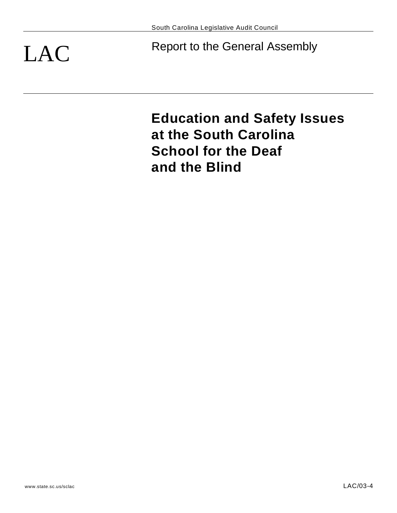# LAC

Report to the General Assembly

# **Education and Safety Issues at the South Carolina School for the Deaf and the Blind**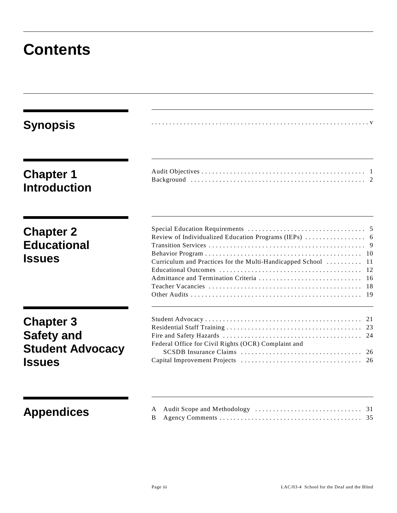# **Contents**

| <b>Synopsis</b>                                                                   |                                                               |
|-----------------------------------------------------------------------------------|---------------------------------------------------------------|
| <b>Chapter 1</b><br><b>Introduction</b>                                           |                                                               |
| <b>Chapter 2</b><br><b>Educational</b><br><b>Issues</b>                           | Curriculum and Practices for the Multi-Handicapped School  11 |
| <b>Chapter 3</b><br><b>Safety and</b><br><b>Student Advocacy</b><br><b>Issues</b> | Federal Office for Civil Rights (OCR) Complaint and           |
| <b>Appendices</b>                                                                 | A<br>B.                                                       |

B Agency Comments .... .... .... .... .... .... .... .... .... .... 35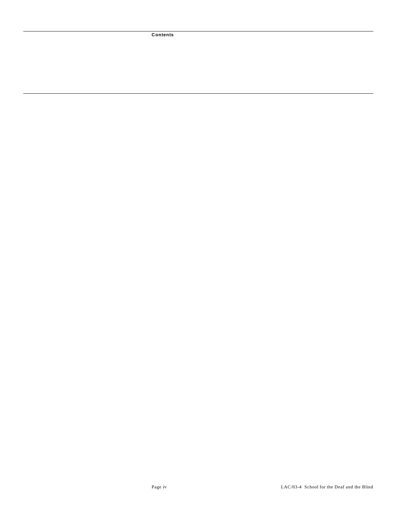**Contents**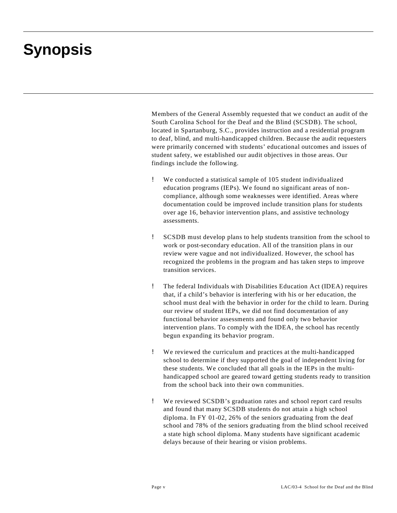# **Synopsis**

Members of the General Assembly requested that we conduct an audit of the South Carolina School for the Deaf and the Blind (SCSDB). The school, located in Spartanburg, S.C., provides instruction and a residential program to deaf, blind, and multi-handicapped children. Because the audit requesters were primarily concerned with students' educational outcomes and issues of student safety, we established our audit objectives in those areas. Our findings include the following.

- ! We conducted a statistical sample of 105 student individualized education programs (IEPs). We found no significant areas of noncompliance, although some weaknesses were identified. Areas where documentation could be improved include transition plans for students over age 16, behavior intervention plans, and assistive technology assessments.
- ! SCSDB must develop plans to help students transition from the school to work or post-secondary education. All of the transition plans in our review were vague and not individualized. However, the school has recognized the problems in the program and has taken steps to improve transition services.
- ! The federal Individuals with Disabilities Education Act (IDEA) requires that, if a child's behavior is interfering with his or her education, the school must deal with the behavior in order for the child to learn. During our review of student IEPs, we did not find documentation of any functional behavior assessments and found only two behavior intervention plans. To comply with the IDEA, the school has recently begun expanding its behavior program.
- ! We reviewed the curriculum and practices at the multi-handicapped school to determine if they supported the goal of independent living for these students. We concluded that all goals in the IEPs in the multihandicapped school are geared toward getting students ready to transition from the school back into their own communities.
- ! We reviewed SCSDB's graduation rates and school report card results and found that many SCSDB students do not attain a high school diploma. In FY 01-02, 26% of the seniors graduating from the deaf school and 78% of the seniors graduating from the blind school received a state high school diploma. Many students have significant academic delays because of their hearing or vision problems.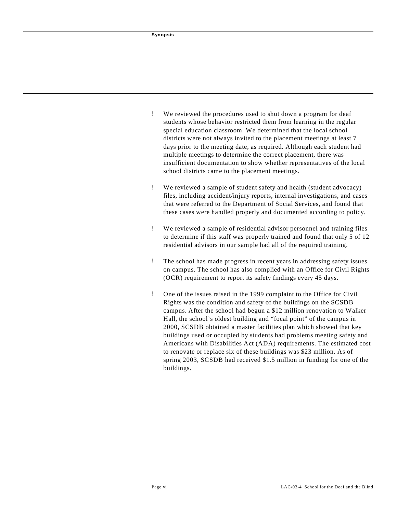- ! We reviewed the procedures used to shut down a program for deaf students whose behavior restricted them from learning in the regular special education classroom. We determined that the local school districts were not always invited to the placement meetings at least 7 days prior to the meeting date, as required. Although each student had multiple meetings to determine the correct placement, there was insufficient documentation to show whether representatives of the local school districts came to the placement meetings.
- ! We reviewed a sample of student safety and health (student advocacy) files, including accident/injury reports, internal investigations, and cases that were referred to the Department of Social Services, and found that these cases were handled properly and documented according to policy.
- ! We reviewed a sample of residential advisor personnel and training files to determine if this staff was properly trained and found that only 5 of 12 residential advisors in our sample had all of the required training.
- ! The school has made progress in recent years in addressing safety issues on campus. The school has also complied with an Office for Civil Rights (OCR) requirement to report its safety findings every 45 days.
- ! One of the issues raised in the 1999 complaint to the Office for Civil Rights was the condition and safety of the buildings on the SCSDB campus. After the school had begun a \$12 million renovation to Walker Hall, the school's oldest building and "focal point" of the campus in 2000, SCSDB obtained a master facilities plan which showed that key buildings used or occupied by students had problems meeting safety and Americans with Disabilities Act (ADA) requirements. The estimated cost to renovate or replace six of these buildings was \$23 million. As of spring 2003, SCSDB had received \$1.5 million in funding for one of the buildings.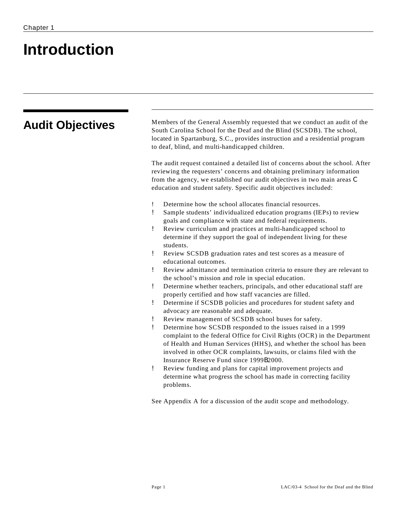# **Introduction**

| <b>Audit Objectives</b> | Members of the General Assembly requested that we conduct an audit of the<br>South Carolina School for the Deaf and the Blind (SCSDB). The school,<br>located in Spartanburg, S.C., provides instruction and a residential program<br>to deaf, blind, and multi-handicapped children.                                                                                                                                                                                                                                                                                                                                                                                                                                                                                                                                                                                                                                                                                                                                                                                                                                                                                                                                                                                                                                                                                                                                                      |
|-------------------------|--------------------------------------------------------------------------------------------------------------------------------------------------------------------------------------------------------------------------------------------------------------------------------------------------------------------------------------------------------------------------------------------------------------------------------------------------------------------------------------------------------------------------------------------------------------------------------------------------------------------------------------------------------------------------------------------------------------------------------------------------------------------------------------------------------------------------------------------------------------------------------------------------------------------------------------------------------------------------------------------------------------------------------------------------------------------------------------------------------------------------------------------------------------------------------------------------------------------------------------------------------------------------------------------------------------------------------------------------------------------------------------------------------------------------------------------|
|                         | The audit request contained a detailed list of concerns about the school. After<br>reviewing the requesters' concerns and obtaining preliminary information<br>from the agency, we established our audit objectives in two main areas C<br>education and student safety. Specific audit objectives included:                                                                                                                                                                                                                                                                                                                                                                                                                                                                                                                                                                                                                                                                                                                                                                                                                                                                                                                                                                                                                                                                                                                               |
|                         | Determine how the school allocates financial resources.<br>Ţ<br>Sample students' individualized education programs (IEPs) to review<br>Ţ.<br>goals and compliance with state and federal requirements.<br>Review curriculum and practices at multi-handicapped school to<br>Ţ.<br>determine if they support the goal of independent living for these<br>students.<br>Ţ.<br>Review SCSDB graduation rates and test scores as a measure of<br>educational outcomes.<br>Ţ.<br>Review admittance and termination criteria to ensure they are relevant to<br>the school's mission and role in special education.<br>L<br>Determine whether teachers, principals, and other educational staff are<br>properly certified and how staff vacancies are filled.<br>L<br>Determine if SCSDB policies and procedures for student safety and<br>advocacy are reasonable and adequate.<br>Review management of SCSDB school buses for safety.<br>Ţ.<br>Ţ<br>Determine how SCSDB responded to the issues raised in a 1999<br>complaint to the federal Office for Civil Rights (OCR) in the Department<br>of Health and Human Services (HHS), and whether the school has been<br>involved in other OCR complaints, lawsuits, or claims filed with the<br>Insurance Reserve Fund since 1999B2000.<br>Review funding and plans for capital improvement projects and<br>Ţ.<br>determine what progress the school has made in correcting facility<br>problems. |
|                         | See Appendix A for a discussion of the audit scope and methodology.                                                                                                                                                                                                                                                                                                                                                                                                                                                                                                                                                                                                                                                                                                                                                                                                                                                                                                                                                                                                                                                                                                                                                                                                                                                                                                                                                                        |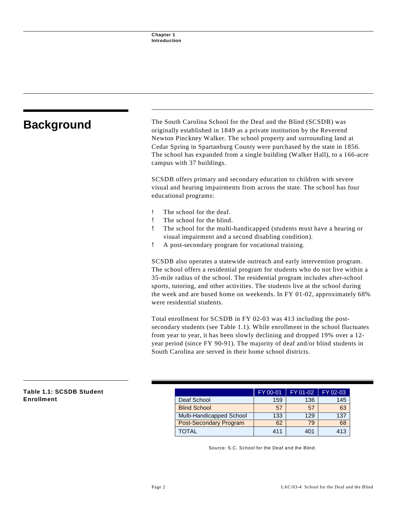| <b>Background</b> | The South Carolina School for the Deaf and the Blind (SCSDB) was<br>originally established in 1849 as a private institution by the Reverend<br>Newton Pinckney Walker. The school property and surrounding land at<br>Cedar Spring in Spartanburg County were purchased by the state in 1856.<br>The school has expanded from a single building (Walker Hall), to a 166-acre<br>campus with 37 buildings.                           |
|-------------------|-------------------------------------------------------------------------------------------------------------------------------------------------------------------------------------------------------------------------------------------------------------------------------------------------------------------------------------------------------------------------------------------------------------------------------------|
|                   | SCSDB offers primary and secondary education to children with severe<br>visual and hearing impairments from across the state. The school has four<br>educational programs:                                                                                                                                                                                                                                                          |
|                   | The school for the deaf.<br>Ţ.<br>The school for the blind.<br>Ţ<br>The school for the multi-handicapped (students must have a hearing or<br>Ţ<br>visual impairment and a second disabling condition).<br>A post-secondary program for vocational training.<br>Ţ                                                                                                                                                                    |
|                   | SCSDB also operates a statewide outreach and early intervention program.<br>The school offers a residential program for students who do not live within a<br>35-mile radius of the school. The residential program includes after-school<br>sports, tutoring, and other activities. The students live at the school during<br>the week and are bused home on weekends. In FY 01-02, approximately 68%<br>were residential students. |
|                   | Total enrollment for SCSDB in FY 02-03 was 413 including the post-<br>secondary students (see Table 1.1). While enrollment in the school fluctuates<br>from year to year, it has been slowly declining and dropped 19% over a 12-<br>year period (since FY 90-91). The majority of deaf and/or blind students in<br>South Carolina are served in their home school districts.                                                       |

#### **Table 1.1: SCSDB Student Enrollment**

|                               | FY 00-01 | FY 01-02 | FY 02-03 |
|-------------------------------|----------|----------|----------|
| Deaf School                   | 159      | 136      | 145      |
| <b>Blind School</b>           | 57       | 57       | 63       |
| Multi-Handicapped School      | 133      | 129      | 137      |
| <b>Post-Secondary Program</b> | 62       | 79       | 68       |
| TOTAL                         | 411      |          | 413      |

Source: S.C. School for the Deaf and the Blind.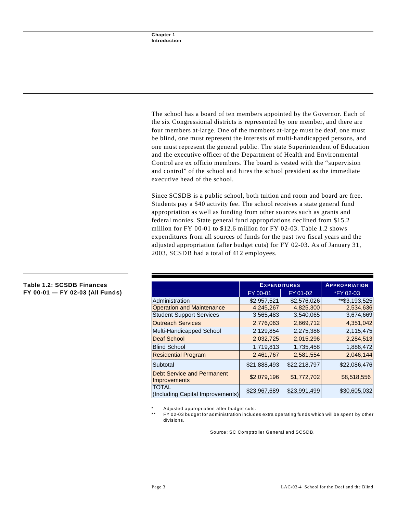The school has a board of ten members appointed by the Governor. Each of the six Congressional districts is represented by one member, and there are four members at-large. One of the members at-large must be deaf, one must be blind, one must represent the interests of multi-handicapped persons, and one must represent the general public. The state Superintendent of Education and the executive officer of the Department of Health and Environmental Control are ex officio members. The board is vested with the "supervision and control" of the school and hires the school president as the immediate executive head of the school.

Since SCSDB is a public school, both tuition and room and board are free. Students pay a \$40 activity fee. The school receives a state general fund appropriation as well as funding from other sources such as grants and federal monies. State general fund appropriations declined from \$15.2 million for FY 00-01 to \$12.6 million for FY 02-03. Table 1.2 shows expenditures from all sources of funds for the past two fiscal years and the adjusted appropriation (after budget cuts) for FY 02-03. As of January 31, 2003, SCSDB had a total of 412 employees.

|                                                   | <b>EXPENDITURES</b> |              | <b>APPROPRIATION</b> |
|---------------------------------------------------|---------------------|--------------|----------------------|
|                                                   | FY 00-01            | FY 01-02     | *FY 02-03            |
| Administration                                    | \$2,957,521         | \$2,576,026  | ** \$3,193,525       |
| <b>Operation and Maintenance</b>                  | 4,245,267           | 4,825,300    | 2,534,636            |
| <b>Student Support Services</b>                   | 3,565,483           | 3,540,065    | 3,674,669            |
| <b>Outreach Services</b>                          | 2,776,063           | 2,669,712    | 4,351,042            |
| Multi-Handicapped School                          | 2,129,854           | 2,275,386    | 2,115,475            |
| Deaf School                                       | 2,032,725           | 2,015,296    | 2,284,513            |
| <b>Blind School</b>                               | 1,719,813           | 1,735,458    | 1,886,472            |
| <b>Residential Program</b>                        | 2,461,767           | 2,581,554    | 2,046,144            |
| Subtotal                                          | \$21,888,493        | \$22,218,797 | \$22,086,476         |
| <b>Debt Service and Permanent</b><br>Improvements | \$2,079,196         | \$1,772,702  | \$8,518,556          |
| <b>TOTAL</b><br>(Including Capital Improvements)  | \$23,967,689        | \$23,991,499 | \$30,605,032         |

Adjusted appropriation after budget cuts.

FY 02-03 budget for administration includes extra operating funds which will be spent by other divisions.

Source: SC Comptroller General and SCSDB.

#### **Table 1.2: SCSDB Finances FY 00-01 — FY 02-03 (All Funds)**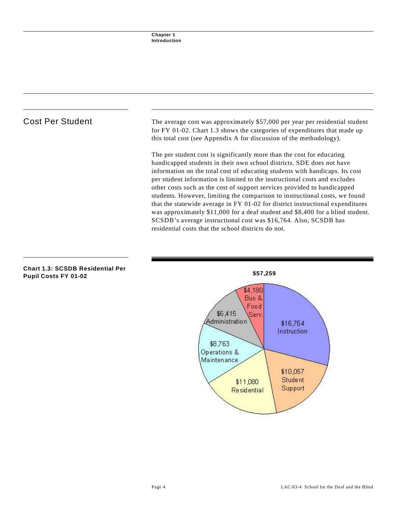Cost Per Student The average cost was approximately \$57,000 per year per residential student for FY 01-02. Chart 1.3 shows the categories of expenditures that made up this total cost (see Appendix A for discussion of the methodology).

> The per student cost is significantly more than the cost for educating handicapped students in their own school districts. SDE does not have information on the total cost of educating students with handicaps. Its cost per student information is limited to the instructional costs and excludes other costs such as the cost of support services provided to handicapped students. However, limiting the comparison to instructional costs, we found that the statewide average in FY 01-02 for district instructional expenditures was approximately \$11,000 for a deaf student and \$8,400 for a blind student. SCSDB's average instructional cost was \$16,764. Also, SCSDB has residential costs that the school districts do not.

## **Chart 1.3: SCSDB Residential Per Pupil Costs FY 01-02 \$57,259**

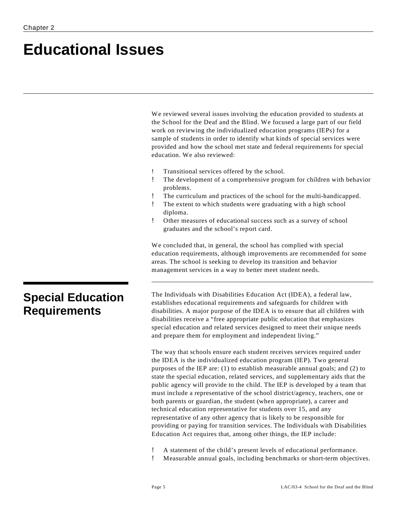# **Educational Issues**

We reviewed several issues involving the education provided to students at the School for the Deaf and the Blind. We focused a large part of our field work on reviewing the individualized education programs (IEPs) for a sample of students in order to identify what kinds of special services were provided and how the school met state and federal requirements for special education. We also reviewed:

- ! Transitional services offered by the school.
- ! The development of a comprehensive program for children with behavior problems.
- The curriculum and practices of the school for the multi-handicapped.
- ! The extent to which students were graduating with a high school diploma.
- ! Other measures of educational success such as a survey of school graduates and the school's report card.

We concluded that, in general, the school has complied with special education requirements, although improvements are recommended for some areas. The school is seeking to develop its transition and behavior management services in a way to better meet student needs.

The Individuals with Disabilities Education Act (IDEA), a federal law, establishes educational requirements and safeguards for children with disabilities. A major purpose of the IDEA is to ensure that all children with disabilities receive a "free appropriate public education that emphasizes special education and related services designed to meet their unique needs and prepare them for employment and independent living."

The way that schools ensure each student receives services required under the IDEA is the individualized education program (IEP). Two general purposes of the IEP are: (1) to establish measurable annual goals; and (2) to state the special education, related services, and supplementary aids that the public agency will provide to the child. The IEP is developed by a team that must include a representative of the school district/agency, teachers, one or both parents or guardian, the student (when appropriate), a career and technical education representative for students over 15, and any representative of any other agency that is likely to be responsible for providing or paying for transition services. The Individuals with Disabilities Education Act requires that, among other things, the IEP include:

- ! A statement of the child's present levels of educational performance.
- ! Measurable annual goals, including benchmarks or short-term objectives.

# **Special Education Requirements**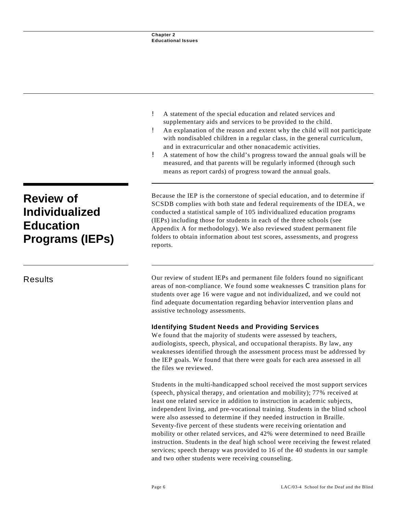- ! A statement of the special education and related services and supplementary aids and services to be provided to the child.
- ! An explanation of the reason and extent why the child will not participate with nondisabled children in a regular class, in the general curriculum, and in extracurricular and other nonacademic activities.
- ! A statement of how the child's progress toward the annual goals will be measured, and that parents will be regularly informed (through such means as report cards) of progress toward the annual goals.

Because the IEP is the cornerstone of special education, and to determine if SCSDB complies with both state and federal requirements of the IDEA, we conducted a statistical sample of 105 individualized education programs (IEPs) including those for students in each of the three schools (see Appendix A for methodology). We also reviewed student permanent file folders to obtain information about test scores, assessments, and progress reports.

Results Our review of student IEPs and permanent file folders found no significant areas of non-compliance. We found some weaknesses C transition plans for students over age 16 were vague and not individualized, and we could not find adequate documentation regarding behavior intervention plans and assistive technology assessments.

#### **Identifying Student Needs and Providing Services**

We found that the majority of students were assessed by teachers, audiologists, speech, physical, and occupational therapists. By law, any weaknesses identified through the assessment process must be addressed by the IEP goals. We found that there were goals for each area assessed in all the files we reviewed.

Students in the multi-handicapped school received the most support services (speech, physical therapy, and orientation and mobility); 77% received at least one related service in addition to instruction in academic subjects, independent living, and pre-vocational training. Students in the blind school were also assessed to determine if they needed instruction in Braille. Seventy-five percent of these students were receiving orientation and mobility or other related services, and 42% were determined to need Braille instruction. Students in the deaf high school were receiving the fewest related services; speech therapy was provided to 16 of the 40 students in our sample and two other students were receiving counseling.

## **Review of Individualized Education Programs (IEPs)**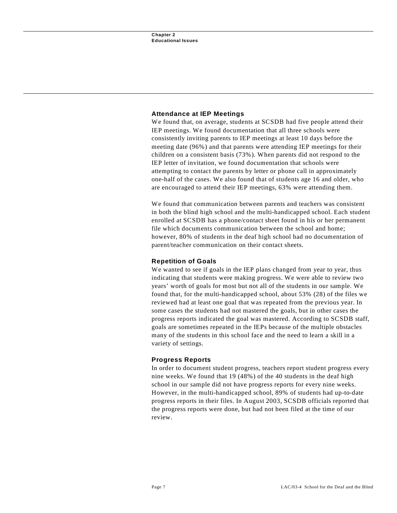#### **Attendance at IEP Meetings**

We found that, on average, students at SCSDB had five people attend their IEP meetings. We found documentation that all three schools were consistently inviting parents to IEP meetings at least 10 days before the meeting date (96%) and that parents were attending IEP meetings for their children on a consistent basis (73%). When parents did not respond to the IEP letter of invitation, we found documentation that schools were attempting to contact the parents by letter or phone call in approximately one-half of the cases. We also found that of students age 16 and older, who are encouraged to attend their IEP meetings, 63% were attending them.

We found that communication between parents and teachers was consistent in both the blind high school and the multi-handicapped school. Each student enrolled at SCSDB has a phone/contact sheet found in his or her permanent file which documents communication between the school and home; however, 80% of students in the deaf high school had no documentation of parent/teacher communication on their contact sheets.

#### **Repetition of Goals**

We wanted to see if goals in the IEP plans changed from year to year, thus indicating that students were making progress. We were able to review two years' worth of goals for most but not all of the students in our sample. We found that, for the multi-handicapped school, about 53% (28) of the files we reviewed had at least one goal that was repeated from the previous year. In some cases the students had not mastered the goals, but in other cases the progress reports indicated the goal was mastered. According to SCSDB staff, goals are sometimes repeated in the IEPs because of the multiple obstacles many of the students in this school face and the need to learn a skill in a variety of settings.

#### **Progress Reports**

In order to document student progress, teachers report student progress every nine weeks. We found that 19 (48%) of the 40 students in the deaf high school in our sample did not have progress reports for every nine weeks. However, in the multi-handicapped school, 89% of students had up-to-date progress reports in their files. In August 2003, SCSDB officials reported that the progress reports were done, but had not been filed at the time of our review.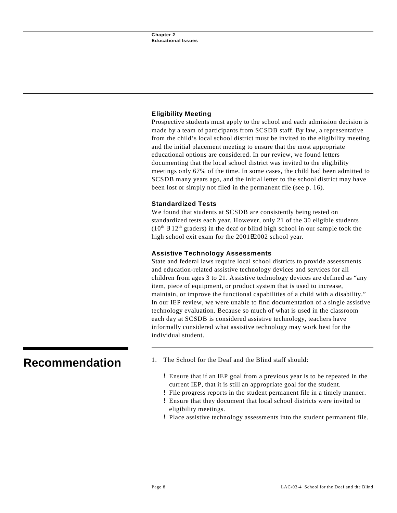#### **Eligibility Meeting**

Prospective students must apply to the school and each admission decision is made by a team of participants from SCSDB staff. By law, a representative from the child's local school district must be invited to the eligibility meeting and the initial placement meeting to ensure that the most appropriate educational options are considered. In our review, we found letters documenting that the local school district was invited to the eligibility meetings only 67% of the time. In some cases, the child had been admitted to SCSDB many years ago, and the initial letter to the school district may have been lost or simply not filed in the permanent file (see p. 16).

#### **Standardized Tests**

We found that students at SCSDB are consistently being tested on standardized tests each year. However, only 21 of the 30 eligible students ( $10<sup>th</sup>$  B  $12<sup>th</sup>$  graders) in the deaf or blind high school in our sample took the high school exit exam for the 2001B2002 school year.

#### **Assistive Technology Assessments**

State and federal laws require local school districts to provide assessments and education-related assistive technology devices and services for all children from ages 3 to 21. Assistive technology devices are defined as "any item, piece of equipment, or product system that is used to increase, maintain, or improve the functional capabilities of a child with a disability." In our IEP review, we were unable to find documentation of a single assistive technology evaluation. Because so much of what is used in the classroom each day at SCSDB is considered assistive technology, teachers have informally considered what assistive technology may work best for the individual student.

- **Recommendation** 1. The School for the Deaf and the Blind staff should:
	- ! Ensure that if an IEP goal from a previous year is to be repeated in the current IEP, that it is still an appropriate goal for the student.
	- ! File progress reports in the student permanent file in a timely manner.
	- ! Ensure that they document that local school districts were invited to eligibility meetings.
	- ! Place assistive technology assessments into the student permanent file.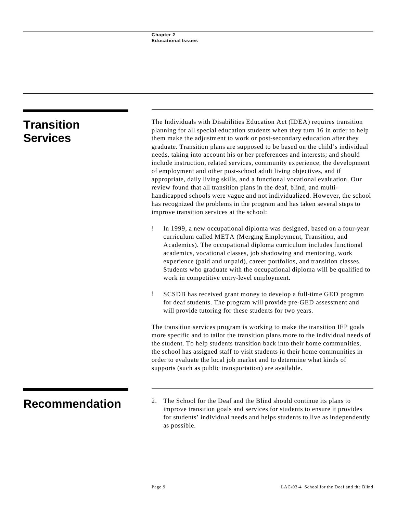| <b>Transition</b><br><b>Services</b> | The Individuals with Disabilities Education Act (IDEA) requires transition<br>planning for all special education students when they turn 16 in order to help<br>them make the adjustment to work or post-secondary education after they<br>graduate. Transition plans are supposed to be based on the child's individual<br>needs, taking into account his or her preferences and interests; and should<br>include instruction, related services, community experience, the development<br>of employment and other post-school adult living objectives, and if<br>appropriate, daily living skills, and a functional vocational evaluation. Our<br>review found that all transition plans in the deaf, blind, and multi-<br>handicapped schools were vague and not individualized. However, the school<br>has recognized the problems in the program and has taken several steps to<br>improve transition services at the school: |
|--------------------------------------|-----------------------------------------------------------------------------------------------------------------------------------------------------------------------------------------------------------------------------------------------------------------------------------------------------------------------------------------------------------------------------------------------------------------------------------------------------------------------------------------------------------------------------------------------------------------------------------------------------------------------------------------------------------------------------------------------------------------------------------------------------------------------------------------------------------------------------------------------------------------------------------------------------------------------------------|
|                                      | In 1999, a new occupational diploma was designed, based on a four-year<br>Ţ<br>curriculum called META (Merging Employment, Transition, and<br>Academics). The occupational diploma curriculum includes functional<br>academics, vocational classes, job shadowing and mentoring, work<br>experience (paid and unpaid), career portfolios, and transition classes.<br>Students who graduate with the occupational diploma will be qualified to<br>work in competitive entry-level employment.                                                                                                                                                                                                                                                                                                                                                                                                                                      |
|                                      | Ţ<br>SCSDB has received grant money to develop a full-time GED program<br>for deaf students. The program will provide pre-GED assessment and<br>will provide tutoring for these students for two years.                                                                                                                                                                                                                                                                                                                                                                                                                                                                                                                                                                                                                                                                                                                           |
|                                      | The transition services program is working to make the transition IEP goals<br>more specific and to tailor the transition plans more to the individual needs of<br>the student. To help students transition back into their home communities,<br>the school has assigned staff to visit students in their home communities in<br>order to evaluate the local job market and to determine what kinds of<br>supports (such as public transportation) are available.                                                                                                                                                                                                                                                                                                                                                                                                                                                                 |
| <b>Recommendation</b>                | The School for the Deaf and the Blind should continue its plans to<br>2.<br>improve transition goals and services for students to ensure it provides<br>for students' individual needs and helps students to live as independently<br>as possible.                                                                                                                                                                                                                                                                                                                                                                                                                                                                                                                                                                                                                                                                                |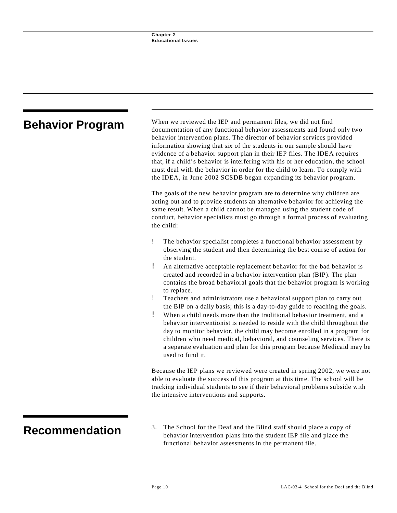**Behavior Program** When we reviewed the IEP and permanent files, we did not find documentation of any functional behavior assessments and found documentation of any functional behavior assessments and found only two behavior intervention plans. The director of behavior services provided information showing that six of the students in our sample should have evidence of a behavior support plan in their IEP files. The IDEA requires that, if a child's behavior is interfering with his or her education, the school must deal with the behavior in order for the child to learn. To comply with the IDEA, in June 2002 SCSDB began expanding its behavior program.

> The goals of the new behavior program are to determine why children are acting out and to provide students an alternative behavior for achieving the same result. When a child cannot be managed using the student code of conduct, behavior specialists must go through a formal process of evaluating the child:

- ! The behavior specialist completes a functional behavior assessment by observing the student and then determining the best course of action for the student.
- ! An alternative acceptable replacement behavior for the bad behavior is created and recorded in a behavior intervention plan (BIP). The plan contains the broad behavioral goals that the behavior program is working to replace.
- ! Teachers and administrators use a behavioral support plan to carry out the BIP on a daily basis; this is a day-to-day guide to reaching the goals.
- ! When a child needs more than the traditional behavior treatment, and a behavior interventionist is needed to reside with the child throughout the day to monitor behavior, the child may become enrolled in a program for children who need medical, behavioral, and counseling services. There is a separate evaluation and plan for this program because Medicaid may be used to fund it.

Because the IEP plans we reviewed were created in spring 2002, we were not able to evaluate the success of this program at this time. The school will be tracking individual students to see if their behavioral problems subside with the intensive interventions and supports.

**Recommendation** 3. The School for the Deaf and the Blind staff should place a copy of behavior intervention plans into the student IEP file and place the functional behavior assessments in the permanent file.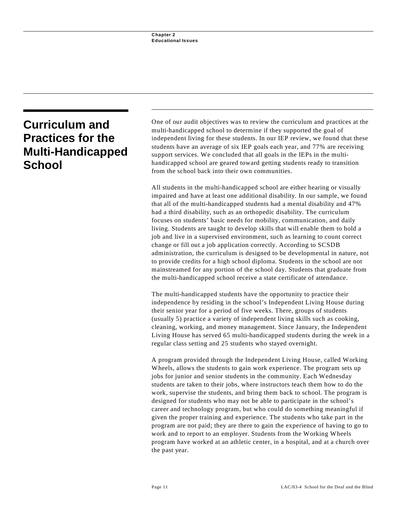# **Curriculum and Practices for the Multi-Handicapped School**

One of our audit objectives was to review the curriculum and practices at the multi-handicapped school to determine if they supported the goal of independent living for these students. In our IEP review, we found that these students have an average of six IEP goals each year, and 77% are receiving support services. We concluded that all goals in the IEPs in the multihandicapped school are geared toward getting students ready to transition from the school back into their own communities.

All students in the multi-handicapped school are either hearing or visually impaired and have at least one additional disability. In our sample, we found that all of the multi-handicapped students had a mental disability and 47% had a third disability, such as an orthopedic disability. The curriculum focuses on students' basic needs for mobility, communication, and daily living. Students are taught to develop skills that will enable them to hold a job and live in a supervised environment, such as learning to count correct change or fill out a job application correctly. According to SCSDB administration, the curriculum is designed to be developmental in nature, not to provide credits for a high school diploma. Students in the school are not mainstreamed for any portion of the school day. Students that graduate from the multi-handicapped school receive a state certificate of attendance.

The multi-handicapped students have the opportunity to practice their independence by residing in the school's Independent Living House during their senior year for a period of five weeks. There, groups of students (usually 5) practice a variety of independent living skills such as cooking, cleaning, working, and money management. Since January, the Independent Living House has served 65 multi-handicapped students during the week in a regular class setting and 25 students who stayed overnight.

A program provided through the Independent Living House, called Working Wheels, allows the students to gain work experience. The program sets up jobs for junior and senior students in the community. Each Wednesday students are taken to their jobs, where instructors teach them how to do the work, supervise the students, and bring them back to school. The program is designed for students who may not be able to participate in the school's career and technology program, but who could do something meaningful if given the proper training and experience. The students who take part in the program are not paid; they are there to gain the experience of having to go to work and to report to an employer. Students from the Working Wheels program have worked at an athletic center, in a hospital, and at a church over the past year.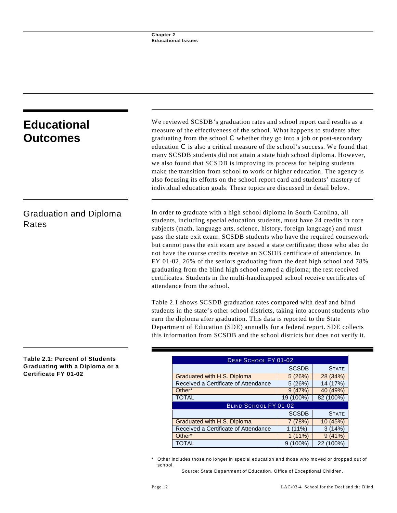| <b>Educational</b><br><b>Outcomes</b>                         | We reviewed SCSDB's graduation rates and school report card results as a<br>measure of the effectiveness of the school. What happens to students after<br>graduating from the school C whether they go into a job or post-secondary<br>education C is also a critical measure of the school's success. We found that<br>many SCSDB students did not attain a state high school diploma. However,<br>we also found that SCSDB is improving its process for helping students<br>make the transition from school to work or higher education. The agency is<br>also focusing its efforts on the school report card and students' mastery of<br>individual education goals. These topics are discussed in detail below.                                            |  |  |
|---------------------------------------------------------------|----------------------------------------------------------------------------------------------------------------------------------------------------------------------------------------------------------------------------------------------------------------------------------------------------------------------------------------------------------------------------------------------------------------------------------------------------------------------------------------------------------------------------------------------------------------------------------------------------------------------------------------------------------------------------------------------------------------------------------------------------------------|--|--|
| <b>Graduation and Diploma</b><br>Rates                        | In order to graduate with a high school diploma in South Carolina, all<br>students, including special education students, must have 24 credits in core<br>subjects (math, language arts, science, history, foreign language) and must<br>pass the state exit exam. SCSDB students who have the required coursework<br>but cannot pass the exit exam are issued a state certificate; those who also do<br>not have the course credits receive an SCSDB certificate of attendance. In<br>FY 01-02, 26% of the seniors graduating from the deaf high school and 78%<br>graduating from the blind high school earned a diploma; the rest received<br>certificates. Students in the multi-handicapped school receive certificates of<br>attendance from the school. |  |  |
|                                                               | Table 2.1 shows SCSDB graduation rates compared with deaf and blind<br>students in the state's other school districts, taking into account students who<br>earn the diploma after graduation. This data is reported to the State<br>Department of Education (SDE) annually for a federal report. SDE collects<br>this information from SCSDB and the school districts but does not verify it.                                                                                                                                                                                                                                                                                                                                                                  |  |  |
| <b>Table 2.1: Percent of Students</b>                         | DEAF SCHOOL FY 01-02                                                                                                                                                                                                                                                                                                                                                                                                                                                                                                                                                                                                                                                                                                                                           |  |  |
| Graduating with a Diploma or a<br><b>Certificate FY 01-02</b> | <b>SCSDB</b><br><b>STATE</b><br>5 (26%)<br>$28 (34\%)$<br>Graduated with H.S. Dinloma                                                                                                                                                                                                                                                                                                                                                                                                                                                                                                                                                                                                                                                                          |  |  |

| DEAF SCHOOL FY 01-02                 |              |              |
|--------------------------------------|--------------|--------------|
|                                      | <b>SCSDB</b> | <b>STATE</b> |
| Graduated with H.S. Diploma          | 5(26%)       | 28 (34%)     |
| Received a Certificate of Attendance | 5 (26%)      | 14 (17%)     |
| Other*                               | 9(47%)       | 40 (49%)     |
| <b>TOTAL</b>                         | 19 (100%)    | 82 (100%)    |
| <b>BLIND SCHOOL FY 01-02</b>         |              |              |
|                                      | <b>SCSDB</b> | <b>STATE</b> |
| Graduated with H.S. Diploma          | 7(78%)       | 10 (45%)     |
| Received a Certificate of Attendance | $1(11\%)$    | 3(14%)       |
| Other*                               | $1(11\%)$    | 9(41%)       |
| <b>TOTAL</b>                         | $9(100\%)$   | 22 (100%)    |

\* Other includes those no longer in special education and those who moved or dropped out of school.

Source: State Department of Education, Office of Exceptional Children.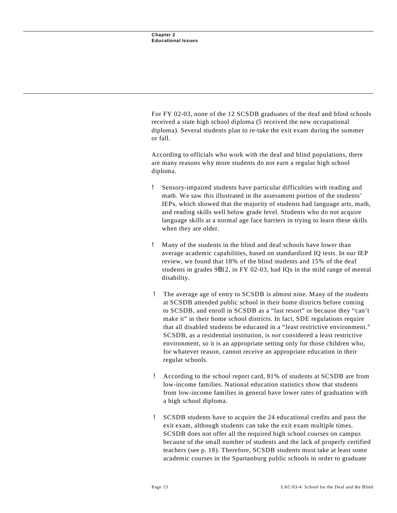For FY 02-03, none of the 12 SCSDB graduates of the deaf and blind schools received a state high school diploma (5 received the new occupational diploma). Several students plan to re-take the exit exam during the summer or fall.

According to officials who work with the deaf and blind populations, there are many reasons why more students do not earn a regular high school diploma.

- ! Sensory-impaired students have particular difficulties with reading and math. We saw this illustrated in the assessment portion of the students' IEPs, which showed that the majority of students had language arts, math, and reading skills well below grade level. Students who do not acquire language skills at a normal age face barriers in trying to learn these skills when they are older.
- ! Many of the students in the blind and deaf schools have lower than average academic capabilities, based on standardized IQ tests. In our IEP review, we found that 18% of the blind students and 15% of the deaf students in grades 9B12, in FY 02-03, had IQs in the mild range of mental disability.
- ! The average age of entry to SCSDB is almost nine. Many of the students at SCSDB attended public school in their home districts before coming to SCSDB, and enroll in SCSDB as a "last resort" or because they "can't make it" in their home school districts. In fact, SDE regulations require that all disabled students be educated in a "least restrictive environment." SCSDB, as a residential institution, is *not* considered a least restrictive environment, so it is an appropriate setting only for those children who, for whatever reason, cannot receive an appropriate education in their regular schools.
- ! According to the school report card, 81% of students at SCSDB are from low-income families. National education statistics show that students from low-income families in general have lower rates of graduation with a high school diploma.
- ! SCSDB students have to acquire the 24 educational credits and pass the exit exam, although students can take the exit exam multiple times. SCSDB does not offer all the required high school courses on campus because of the small number of students and the lack of properly certified teachers (see p. 18). Therefore, SCSDB students must take at least some academic courses in the Spartanburg public schools in order to graduate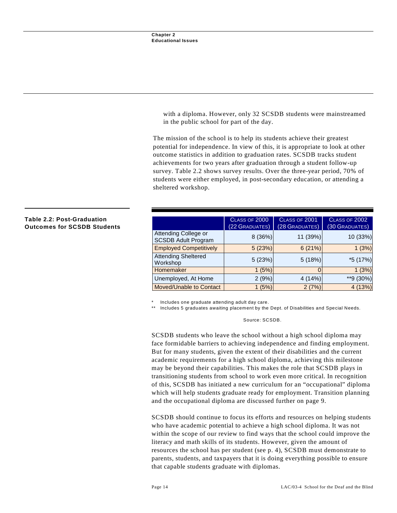with a diploma. However, only 32 SCSDB students were mainstreamed in the public school for part of the day.

The mission of the school is to help its students achieve their greatest potential for independence. In view of this, it is appropriate to look at other outcome statistics in addition to graduation rates. SCSDB tracks student achievements for two years after graduation through a student follow-up survey. Table 2.2 shows survey results. Over the three-year period, 70% of students were either employed, in post-secondary education, or attending a sheltered workshop.

|                                                    | CLASS OF 2000  | CLASS OF 2001  | CLASS OF 2002  |
|----------------------------------------------------|----------------|----------------|----------------|
|                                                    | (22 GRADUATES) | (28 GRADUATES) | (30 GRADUATES) |
| Attending College or<br><b>SCSDB Adult Program</b> | 8(36%)         | 11 (39%)       | 10 (33%)       |
| <b>Employed Competitively</b>                      | 5(23%)         | 6(21%)         | 1(3%)          |
| <b>Attending Sheltered</b><br>Workshop             | 5(23%)         | 5(18%)         | *5 (17%)       |
| Homemaker                                          | 1(5%)          |                | 1(3%)          |
| Unemployed, At Home                                | 2(9%)          | 4 (14%)        | **9 (30%)      |
| Moved/Unable to Contact                            | 1(5%)          | 2(7%)          | 4(13%)         |

Includes one graduate attending adult day care.

Includes 5 graduates awaiting placement by the Dept. of Disabilities and Special Needs.

#### Source: SCSDB.

SCSDB students who leave the school without a high school diploma may face formidable barriers to achieving independence and finding employment. But for many students, given the extent of their disabilities and the current academic requirements for a high school diploma, achieving this milestone may be beyond their capabilities. This makes the role that SCSDB plays in transitioning students from school to work even more critical. In recognition of this, SCSDB has initiated a new curriculum for an "occupational" diploma which will help students graduate ready for employment. Transition planning and the occupational diploma are discussed further on page 9.

SCSDB should continue to focus its efforts and resources on helping students who have academic potential to achieve a high school diploma. It was not within the scope of our review to find ways that the school could improve the literacy and math skills of its students. However, given the amount of resources the school has per student (see p. 4), SCSDB must demonstrate to parents, students, and taxpayers that it is doing everything possible to ensure that capable students graduate with diplomas.

#### **Table 2.2: Post-Graduation Outcomes for SCSDB Students**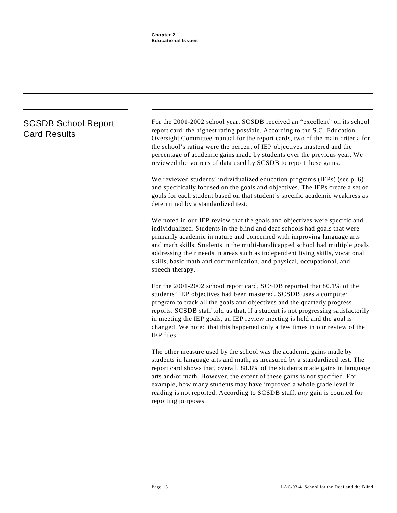### SCSDB School Report Card Results

For the 2001-2002 school year, SCSDB received an "excellent" on its school report card, the highest rating possible. According to the S.C. Education Oversight Committee manual for the report cards, two of the main criteria for the school's rating were the percent of IEP objectives mastered and the percentage of academic gains made by students over the previous year. We reviewed the sources of data used by SCSDB to report these gains.

We reviewed students' individualized education programs (IEPs) (see p. 6) and specifically focused on the goals and objectives. The IEPs create a set of goals for each student based on that student's specific academic weakness as determined by a standardized test.

We noted in our IEP review that the goals and objectives were specific and individualized. Students in the blind and deaf schools had goals that were primarily academic in nature and concerned with improving language arts and math skills. Students in the multi-handicapped school had multiple goals addressing their needs in areas such as independent living skills, vocational skills, basic math and communication, and physical, occupational, and speech therapy.

For the 2001-2002 school report card, SCSDB reported that 80.1% of the students' IEP objectives had been mastered. SCSDB uses a computer program to track all the goals and objectives and the quarterly progress reports. SCSDB staff told us that, if a student is not progressing satisfactorily in meeting the IEP goals, an IEP review meeting is held and the goal is changed. We noted that this happened only a few times in our review of the IEP files.

The other measure used by the school was the academic gains made by students in language arts and math, as measured by a standardized test. The report card shows that, overall, 88.8% of the students made gains in language arts and/or math. However, the extent of these gains is not specified. For example, how many students may have improved a whole grade level in reading is not reported. According to SCSDB staff, *any* gain is counted for reporting purposes.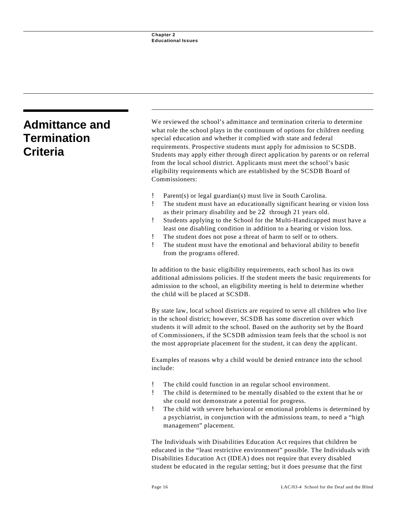## **Admittance and Termination Criteria**

We reviewed the school's admittance and termination criteria to determine what role the school plays in the continuum of options for children needing special education and whether it complied with state and federal requirements. Prospective students must apply for admission to SCSDB. Students may apply either through direct application by parents or on referral from the local school district. Applicants must meet the school's basic eligibility requirements which are established by the SCSDB Board of Commissioners:

- ! Parent(s) or legal guardian(s) must live in South Carolina.
- ! The student must have an educationally significant hearing or vision loss as their primary disability and be 22 through 21 years old.
- ! Students applying to the School for the Multi-Handicapped must have a least one disabling condition in addition to a hearing or vision loss.
- ! The student does not pose a threat of harm to self or to others.
- ! The student must have the emotional and behavioral ability to benefit from the programs offered.

In addition to the basic eligibility requirements, each school has its own additional admissions policies. If the student meets the basic requirements for admission to the school, an eligibility meeting is held to determine whether the child will be placed at SCSDB.

By state law, local school districts are required to serve all children who live in the school district; however, SCSDB has some discretion over which students it will admit to the school. Based on the authority set by the Board of Commissioners, if the SCSDB admission team feels that the school is not the most appropriate placement for the student, it can deny the applicant.

Examples of reasons why a child would be denied entrance into the school include:

- ! The child could function in an regular school environment.
- ! The child is determined to be mentally disabled to the extent that he or she could not demonstrate a potential for progress.
- The child with severe behavioral or emotional problems is determined by a psychiatrist, in conjunction with the admissions team, to need a "high management" placement.

The Individuals with Disabilities Education Act requires that children be educated in the "least restrictive environment" possible. The Individuals with Disabilities Education Act (IDEA) does not require that every disabled student be educated in the regular setting; but it does presume that the first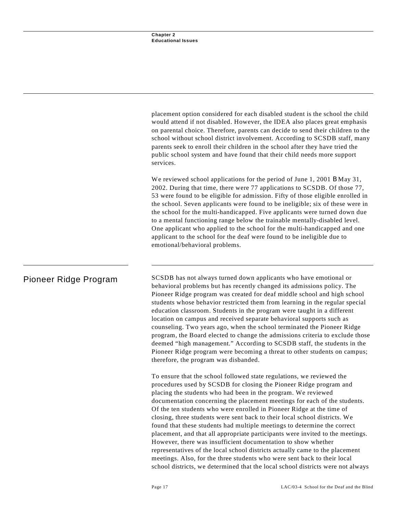|                       | placement option considered for each disabled student is the school the child<br>would attend if not disabled. However, the IDEA also places great emphasis<br>on parental choice. Therefore, parents can decide to send their children to the<br>school without school district involvement. According to SCSDB staff, many<br>parents seek to enroll their children in the school after they have tried the<br>public school system and have found that their child needs more support<br>services.                                                                                                                                                                                                                                                                                                                                       |
|-----------------------|---------------------------------------------------------------------------------------------------------------------------------------------------------------------------------------------------------------------------------------------------------------------------------------------------------------------------------------------------------------------------------------------------------------------------------------------------------------------------------------------------------------------------------------------------------------------------------------------------------------------------------------------------------------------------------------------------------------------------------------------------------------------------------------------------------------------------------------------|
|                       | We reviewed school applications for the period of June 1, 2001 B May 31,<br>2002. During that time, there were 77 applications to SCSDB. Of those 77,<br>53 were found to be eligible for admission. Fifty of those eligible enrolled in<br>the school. Seven applicants were found to be ineligible; six of these were in<br>the school for the multi-handicapped. Five applicants were turned down due<br>to a mental functioning range below the trainable mentally-disabled level.<br>One applicant who applied to the school for the multi-handicapped and one<br>applicant to the school for the deaf were found to be ineligible due to<br>emotional/behavioral problems.                                                                                                                                                            |
| Pioneer Ridge Program | SCSDB has not always turned down applicants who have emotional or<br>behavioral problems but has recently changed its admissions policy. The<br>Pioneer Ridge program was created for deaf middle school and high school<br>students whose behavior restricted them from learning in the regular special<br>education classroom. Students in the program were taught in a different<br>location on campus and received separate behavioral supports such as<br>counseling. Two years ago, when the school terminated the Pioneer Ridge<br>program, the Board elected to change the admissions criteria to exclude those<br>deemed "high management." According to SCSDB staff, the students in the<br>Pioneer Ridge program were becoming a threat to other students on campus;<br>therefore, the program was disbanded.                    |
|                       | To ensure that the school followed state regulations, we reviewed the<br>procedures used by SCSDB for closing the Pioneer Ridge program and<br>placing the students who had been in the program. We reviewed<br>documentation concerning the placement meetings for each of the students.<br>Of the ten students who were enrolled in Pioneer Ridge at the time of<br>closing, three students were sent back to their local school districts. We<br>found that these students had multiple meetings to determine the correct<br>placement, and that all appropriate participants were invited to the meetings.<br>However, there was insufficient documentation to show whether<br>representatives of the local school districts actually came to the placement<br>meetings. Also, for the three students who were sent back to their local |

school districts, we determined that the local school districts were not always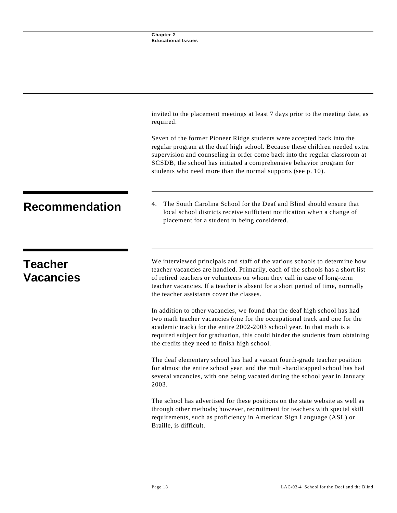|                                    | invited to the placement meetings at least 7 days prior to the meeting date, as<br>required.                                                                                                                                                                                                                                                                                  |
|------------------------------------|-------------------------------------------------------------------------------------------------------------------------------------------------------------------------------------------------------------------------------------------------------------------------------------------------------------------------------------------------------------------------------|
|                                    | Seven of the former Pioneer Ridge students were accepted back into the<br>regular program at the deaf high school. Because these children needed extra<br>supervision and counseling in order come back into the regular classroom at<br>SCSDB, the school has initiated a comprehensive behavior program for<br>students who need more than the normal supports (see p. 10). |
| <b>Recommendation</b>              | The South Carolina School for the Deaf and Blind should ensure that<br>4.<br>local school districts receive sufficient notification when a change of<br>placement for a student in being considered.                                                                                                                                                                          |
| <b>Teacher</b><br><b>Vacancies</b> | We interviewed principals and staff of the various schools to determine how<br>teacher vacancies are handled. Primarily, each of the schools has a short list<br>of retired teachers or volunteers on whom they call in case of long-term<br>teacher vacancies. If a teacher is absent for a short period of time, normally<br>the teacher assistants cover the classes.      |
|                                    | In addition to other vacancies, we found that the deaf high school has had<br>two math teacher vacancies (one for the occupational track and one for the<br>academic track) for the entire 2002-2003 school year. In that math is a<br>required subject for graduation, this could hinder the students from obtaining<br>the credits they need to finish high school.         |
|                                    | The deaf elementary school has had a vacant fourth-grade teacher position<br>for almost the entire school year, and the multi-handicapped school has had<br>several vacancies, with one being vacated during the school year in January<br>2003.                                                                                                                              |
|                                    | The school has advertised for these positions on the state website as well as<br>through other methods; however, recruitment for teachers with special skill<br>requirements, such as proficiency in American Sign Language (ASL) or<br>Braille, is difficult.                                                                                                                |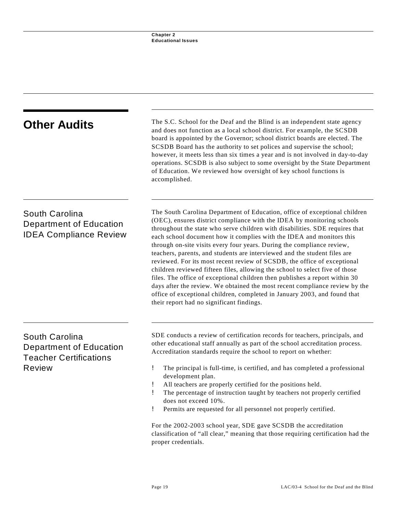| <b>Other Audits</b>                                                                                | The S.C. School for the Deaf and the Blind is an independent state agency<br>and does not function as a local school district. For example, the SCSDB<br>board is appointed by the Governor; school district boards are elected. The<br>SCSDB Board has the authority to set polices and supervise the school;<br>however, it meets less than six times a year and is not involved in day-to-day<br>operations. SCSDB is also subject to some oversight by the State Department<br>of Education. We reviewed how oversight of key school functions is<br>accomplished.                                                                                                                                                                                                                                                                                                                                                  |
|----------------------------------------------------------------------------------------------------|-------------------------------------------------------------------------------------------------------------------------------------------------------------------------------------------------------------------------------------------------------------------------------------------------------------------------------------------------------------------------------------------------------------------------------------------------------------------------------------------------------------------------------------------------------------------------------------------------------------------------------------------------------------------------------------------------------------------------------------------------------------------------------------------------------------------------------------------------------------------------------------------------------------------------|
| South Carolina<br>Department of Education<br><b>IDEA Compliance Review</b>                         | The South Carolina Department of Education, office of exceptional children<br>(OEC), ensures district compliance with the IDEA by monitoring schools<br>throughout the state who serve children with disabilities. SDE requires that<br>each school document how it complies with the IDEA and monitors this<br>through on-site visits every four years. During the compliance review,<br>teachers, parents, and students are interviewed and the student files are<br>reviewed. For its most recent review of SCSDB, the office of exceptional<br>children reviewed fifteen files, allowing the school to select five of those<br>files. The office of exceptional children then publishes a report within 30<br>days after the review. We obtained the most recent compliance review by the<br>office of exceptional children, completed in January 2003, and found that<br>their report had no significant findings. |
| South Carolina<br><b>Department of Education</b><br><b>Teacher Certifications</b><br><b>Review</b> | SDE conducts a review of certification records for teachers, principals, and<br>other educational staff annually as part of the school accreditation process.<br>Accreditation standards require the school to report on whether:<br>The principal is full-time, is certified, and has completed a professional<br>Ţ<br>development plan.<br>All teachers are properly certified for the positions held.<br>The percentage of instruction taught by teachers not properly certified<br>Ţ<br>does not exceed 10%.<br>Permits are requested for all personnel not properly certified.<br>Ţ<br>For the 2002-2003 school year, SDE gave SCSDB the accreditation<br>classification of "all clear," meaning that those requiring certification had the<br>proper credentials.                                                                                                                                                 |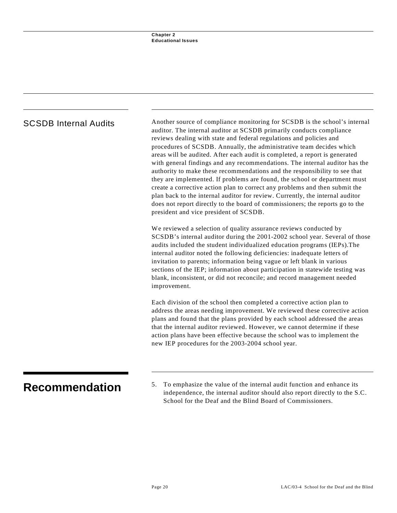SCSDB Internal Audits Another source of compliance monitoring for SCSDB is the school's internal auditor. The internal auditor at SCSDB primarily conducts compliance reviews dealing with state and federal regulations and policies and procedures of SCSDB. Annually, the administrative team decides which areas will be audited. After each audit is completed, a report is generated with general findings and any recommendations. The internal auditor has the authority to make these recommendations and the responsibility to see that they are implemented. If problems are found, the school or department must create a corrective action plan to correct any problems and then submit the plan back to the internal auditor for review. Currently, the internal auditor does not report directly to the board of commissioners; the reports go to the president and vice president of SCSDB.

> We reviewed a selection of quality assurance reviews conducted by SCSDB's internal auditor during the 2001-2002 school year. Several of those audits included the student individualized education programs (IEPs).The internal auditor noted the following deficiencies: inadequate letters of invitation to parents; information being vague or left blank in various sections of the IEP; information about participation in statewide testing was blank, inconsistent, or did not reconcile; and record management needed improvement.

> Each division of the school then completed a corrective action plan to address the areas needing improvement. We reviewed these corrective action plans and found that the plans provided by each school addressed the areas that the internal auditor reviewed. However, we cannot determine if these action plans have been effective because the school was to implement the new IEP procedures for the 2003-2004 school year.

**Recommendation** 5. To emphasize the value of the internal audit function and enhance its independence, the internal auditor should also report directly to the S.C. School for the Deaf and the Blind Board of Commissioners.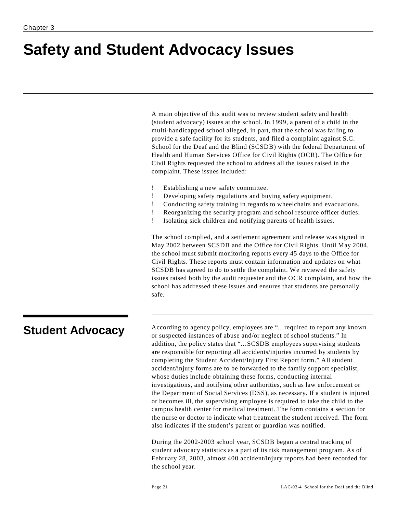# **Safety and Student Advocacy Issues**

A main objective of this audit was to review student safety and health (student advocacy) issues at the school. In 1999, a parent of a child in the multi-handicapped school alleged, in part, that the school was failing to provide a safe facility for its students, and filed a complaint against S.C. School for the Deaf and the Blind (SCSDB) with the federal Department of Health and Human Services Office for Civil Rights (OCR). The Office for Civil Rights requested the school to address all the issues raised in the complaint. These issues included:

- Establishing a new safety committee.
- Developing safety regulations and buying safety equipment.
- ! Conducting safety training in regards to wheelchairs and evacuations.
- Reorganizing the security program and school resource officer duties.
- ! Isolating sick children and notifying parents of health issues.

The school complied, and a settlement agreement and release was signed in May 2002 between SCSDB and the Office for Civil Rights. Until May 2004, the school must submit monitoring reports every 45 days to the Office for Civil Rights. These reports must contain information and updates on what SCSDB has agreed to do to settle the complaint. We reviewed the safety issues raised both by the audit requester and the OCR complaint, and how the school has addressed these issues and ensures that students are personally safe.

## **Student Advocacy**

According to agency policy, employees are "*…*required to report any known or suspected instances of abuse and/or neglect of school students*.*" In addition, the policy states that "*…*SCSDB employees supervising students are responsible for reporting all accidents/injuries incurred by students by completing the Student Accident/Injury First Report form." All student accident/injury forms are to be forwarded to the family support specialist, whose duties include obtaining these forms, conducting internal investigations, and notifying other authorities, such as law enforcement or the Department of Social Services (DSS), as necessary. If a student is injured or becomes ill, the supervising employee is required to take the child to the campus health center for medical treatment. The form contains a section for the nurse or doctor to indicate what treatment the student received. The form also indicates if the student's parent or guardian was notified.

During the 2002-2003 school year, SCSDB began a central tracking of student advocacy statistics as a part of its risk management program. As of February 28, 2003, almost 400 accident/injury reports had been recorded for the school year.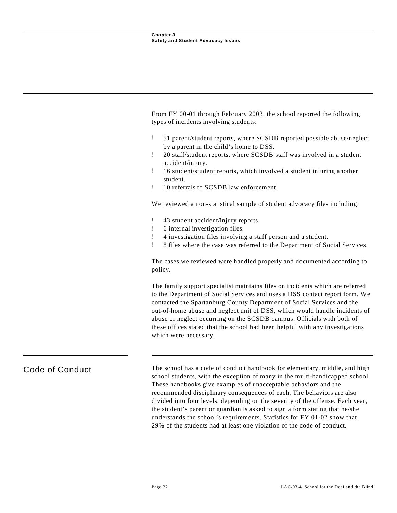From FY 00-01 through February 2003, the school reported the following types of incidents involving students:

- ! 51 parent/student reports, where SCSDB reported possible abuse/neglect by a parent in the child's home to DSS.
- ! 20 staff/student reports, where SCSDB staff was involved in a student accident/injury.
- ! 16 student/student reports, which involved a student injuring another student.
- ! 10 referrals to SCSDB law enforcement.

We reviewed a non-statistical sample of student advocacy files including:

- ! 43 student accident/injury reports.
- ! 6 internal investigation files.
- ! 4 investigation files involving a staff person and a student.
- ! 8 files where the case was referred to the Department of Social Services.

The cases we reviewed were handled properly and documented according to policy.

The family support specialist maintains files on incidents which are referred to the Department of Social Services and uses a DSS contact report form. We contacted the Spartanburg County Department of Social Services and the out-of-home abuse and neglect unit of DSS, which would handle incidents of abuse or neglect occurring on the SCSDB campus. Officials with both of these offices stated that the school had been helpful with any investigations which were necessary.

Code of Conduct The school has a code of conduct handbook for elementary, middle, and high school students, with the exception of many in the multi-handicapped school. These handbooks give examples of unacceptable behaviors and the recommended disciplinary consequences of each. The behaviors are also divided into four levels, depending on the severity of the offense. Each year, the student's parent or guardian is asked to sign a form stating that he/she understands the school's requirements. Statistics for FY 01-02 show that 29% of the students had at least one violation of the code of conduct.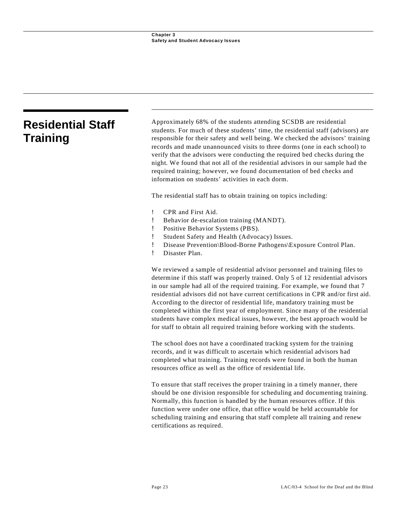### **Residential Staff Training** Approximately 68% of the students attending SCSDB are residential students. For much of these students' time, the residential staff (advisors) are responsible for their safety and well being. We checked the advisors' training records and made unannounced visits to three dorms (one in each school) to verify that the advisors were conducting the required bed checks during the night. We found that not all of the residential advisors in our sample had the required training; however, we found documentation of bed checks and information on students' activities in each dorm. The residential staff has to obtain training on topics including: ! CPR and First Aid. ! Behavior de-escalation training (MANDT). ! Positive Behavior Systems (PBS). ! Student Safety and Health (Advocacy) Issues. ! Disease Prevention\Blood-Borne Pathogens\Exposure Control Plan.

! Disaster Plan.

We reviewed a sample of residential advisor personnel and training files to determine if this staff was properly trained. Only 5 of 12 residential advisors in our sample had all of the required training. For example, we found that 7 residential advisors did not have current certifications in CPR and/or first aid. According to the director of residential life, mandatory training must be completed within the first year of employment. Since many of the residential students have complex medical issues, however, the best approach would be for staff to obtain all required training before working with the students.

The school does not have a coordinated tracking system for the training records, and it was difficult to ascertain which residential advisors had completed what training. Training records were found in both the human resources office as well as the office of residential life.

To ensure that staff receives the proper training in a timely manner, there should be one division responsible for scheduling and documenting training. Normally, this function is handled by the human resources office. If this function were under one office, that office would be held accountable for scheduling training and ensuring that staff complete all training and renew certifications as required.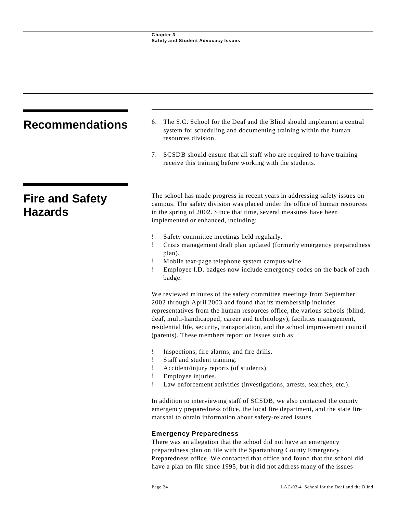| <b>Recommendations</b>                   | The S.C. School for the Deaf and the Blind should implement a central<br>6.<br>system for scheduling and documenting training within the human<br>resources division.                                                                                                                                                                                                                                                                    |
|------------------------------------------|------------------------------------------------------------------------------------------------------------------------------------------------------------------------------------------------------------------------------------------------------------------------------------------------------------------------------------------------------------------------------------------------------------------------------------------|
|                                          | SCSDB should ensure that all staff who are required to have training<br>7.<br>receive this training before working with the students.                                                                                                                                                                                                                                                                                                    |
| <b>Fire and Safety</b><br><b>Hazards</b> | The school has made progress in recent years in addressing safety issues on<br>campus. The safety division was placed under the office of human resources<br>in the spring of 2002. Since that time, several measures have been<br>implemented or enhanced, including:                                                                                                                                                                   |
|                                          | Safety committee meetings held regularly.<br>Ţ<br>Crisis management draft plan updated (formerly emergency preparedness<br>Ţ.<br>plan).<br>Mobile text-page telephone system campus-wide.<br>Employee I.D. badges now include emergency codes on the back of each<br>Ţ<br>badge.                                                                                                                                                         |
|                                          | We reviewed minutes of the safety committee meetings from September<br>2002 through April 2003 and found that its membership includes<br>representatives from the human resources office, the various schools (blind,<br>deaf, multi-handicapped, career and technology), facilities management,<br>residential life, security, transportation, and the school improvement council<br>(parents). These members report on issues such as: |
|                                          | Inspections, fire alarms, and fire drills.<br>Staff and student training.<br>Accident/injury reports (of students).<br>Employee injuries.<br>Law enforcement activities (investigations, arrests, searches, etc.).                                                                                                                                                                                                                       |
|                                          | In addition to interviewing staff of SCSDB, we also contacted the county<br>emergency preparedness office, the local fire department, and the state fire<br>marshal to obtain information about safety-related issues.                                                                                                                                                                                                                   |
|                                          | <b>Emergency Preparedness</b><br>There was an allegation that the school did not have an emergency<br>preparedness plan on file with the Spartanburg County Emergency                                                                                                                                                                                                                                                                    |

Preparedness office. We contacted that office and found that the school did have a plan on file since 1995, but it did not address many of the issues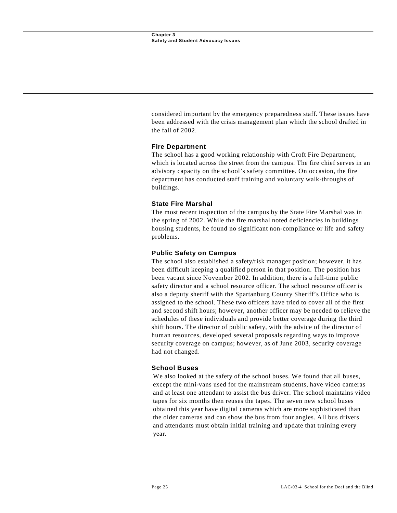considered important by the emergency preparedness staff. These issues have been addressed with the crisis management plan which the school drafted in the fall of 2002.

#### **Fire Department**

The school has a good working relationship with Croft Fire Department, which is located across the street from the campus. The fire chief serves in an advisory capacity on the school's safety committee. On occasion, the fire department has conducted staff training and voluntary walk-throughs of buildings.

#### **State Fire Marshal**

The most recent inspection of the campus by the State Fire Marshal was in the spring of 2002. While the fire marshal noted deficiencies in buildings housing students, he found no significant non-compliance or life and safety problems.

#### **Public Safety on Campus**

The school also established a safety/risk manager position; however, it has been difficult keeping a qualified person in that position. The position has been vacant since November 2002. In addition, there is a full-time public safety director and a school resource officer. The school resource officer is also a deputy sheriff with the Spartanburg County Sheriff's Office who is assigned to the school. These two officers have tried to cover all of the first and second shift hours; however, another officer may be needed to relieve the schedules of these individuals and provide better coverage during the third shift hours. The director of public safety, with the advice of the director of human resources, developed several proposals regarding ways to improve security coverage on campus; however, as of June 2003, security coverage had not changed.

#### **School Buses**

We also looked at the safety of the school buses. We found that all buses, except the mini-vans used for the mainstream students, have video cameras and at least one attendant to assist the bus driver. The school maintains video tapes for six months then reuses the tapes. The seven new school buses obtained this year have digital cameras which are more sophisticated than the older cameras and can show the bus from four angles. All bus drivers and attendants must obtain initial training and update that training every year.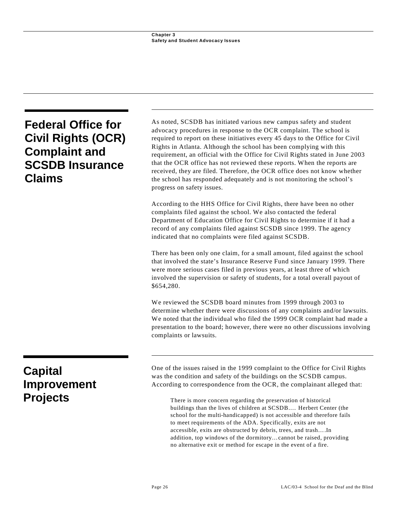# **Federal Office for Civil Rights (OCR) Complaint and SCSDB Insurance Claims**

As noted, SCSDB has initiated various new campus safety and student advocacy procedures in response to the OCR complaint. The school is required to report on these initiatives every 45 days to the Office for Civil Rights in Atlanta. Although the school has been complying with this requirement, an official with the Office for Civil Rights stated in June 2003 that the OCR office has not reviewed these reports. When the reports are received, they are filed. Therefore, the OCR office does not know whether the school has responded adequately and is not monitoring the school's progress on safety issues.

According to the HHS Office for Civil Rights, there have been no other complaints filed against the school. We also contacted the federal Department of Education Office for Civil Rights to determine if it had a record of any complaints filed against SCSDB since 1999. The agency indicated that no complaints were filed against SCSDB.

There has been only one claim, for a small amount, filed against the school that involved the state's Insurance Reserve Fund since January 1999. There were more serious cases filed in previous years, at least three of which involved the supervision or safety of students, for a total overall payout of \$654,280.

We reviewed the SCSDB board minutes from 1999 through 2003 to determine whether there were discussions of any complaints and/or lawsuits. We noted that the individual who filed the 1999 OCR complaint had made a presentation to the board; however, there were no other discussions involving complaints or lawsuits.

## **Capital Improvement Projects**

One of the issues raised in the 1999 complaint to the Office for Civil Rights was the condition and safety of the buildings on the SCSDB campus. According to correspondence from the OCR, the complainant alleged that:

There is more concern regarding the preservation of historical buildings than the lives of children at SCSDB.… Herbert Center (the school for the multi-handicapped) is not accessible and therefore fails to meet requirements of the ADA. Specifically, exits are not accessible, exits are obstructed by debris, trees, and trash….In addition, top windows of the dormitory…cannot be raised, providing no alternative exit or method for escape in the event of a fire.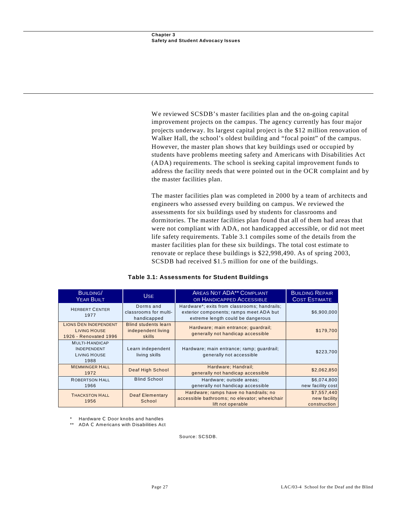We reviewed SCSDB's master facilities plan and the on-going capital improvement projects on the campus. The agency currently has four major projects underway. Its largest capital project is the \$12 million renovation of Walker Hall, the school's oldest building and "focal point" of the campus. However, the master plan shows that key buildings used or occupied by students have problems meeting safety and Americans with Disabilities Act (ADA) requirements. The school is seeking capital improvement funds to address the facility needs that were pointed out in the OCR complaint and by the master facilities plan.

The master facilities plan was completed in 2000 by a team of architects and engineers who assessed every building on campus. We reviewed the assessments for six buildings used by students for classrooms and dormitories. The master facilities plan found that all of them had areas that were not compliant with ADA, not handicapped accessible, or did not meet life safety requirements. Table 3.1 compiles some of the details from the master facilities plan for these six buildings. The total cost estimate to renovate or replace these buildings is \$22,998,490. As of spring 2003, SCSDB had received \$1.5 million for one of the buildings.

| <b>BUILDING/</b><br>YEAR BUILT                                               | <b>USE</b>                                                  | <b>AREAS NOT ADA** COMPLIANT</b><br>OR HANDICAPPED ACCESSIBLE                                                                | <b>BUILDING REPAIR</b><br><b>COST ESTIMATE</b> |
|------------------------------------------------------------------------------|-------------------------------------------------------------|------------------------------------------------------------------------------------------------------------------------------|------------------------------------------------|
| <b>HERBERT CENTER</b><br>1977                                                | Dorms and<br>classrooms for multi-<br>handicapped           | Hardware*; exits from classrooms; handrails;<br>exterior components; ramps meet ADA but<br>extreme length could be dangerous | \$6,900,000                                    |
| <b>LIONS DEN INDEPENDENT</b><br><b>LIVING HOUSE</b><br>1926 - Renovated 1996 | <b>Blind students learn</b><br>independent living<br>skills | Hardware; main entrance; quardrail;<br>generally not handicap accessible                                                     | \$179,700                                      |
| <b>MULTI-HANDICAP</b><br><b>INDEPENDENT</b><br><b>LIVING HOUSE</b><br>1988   | Learn independent<br>living skills                          | Hardware; main entrance; ramp; guardrail;<br>generally not accessible                                                        | \$223,700                                      |
| <b>MEMMINGER HALL</b><br>1972                                                | Deaf High School                                            | Hardware; Handrail;<br>generally not handicap accessible                                                                     | \$2,062,850                                    |
| <b>ROBERTSON HALL</b><br>1966                                                | <b>Blind School</b>                                         | Hardware; outside areas;<br>generally not handicap accessible                                                                | \$6,074,800<br>new facility cost               |
| <b>THACKSTON HALL</b><br>1956                                                | <b>Deaf Elementary</b><br>School                            | Hardware; ramps have no handrails; no<br>accessible bathrooms; no elevator; wheelchair<br>lift not operable                  | \$7,557,440<br>new facility<br>construction    |

| Table 3.1: Assessments for Student Buildings |  |  |
|----------------------------------------------|--|--|
|                                              |  |  |

\* Hardware C Door knobs and handles

\*\* ADA C Americans with Disabilities Act

Source: SCSDB.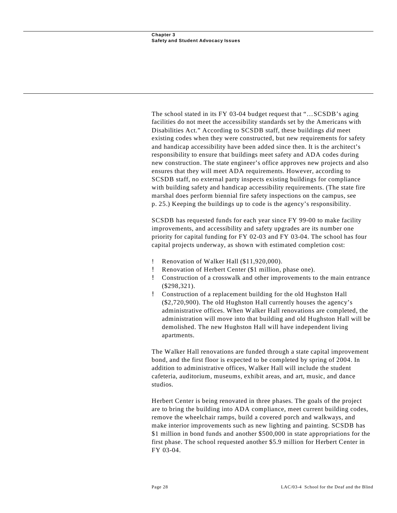The school stated in its FY 03-04 budget request that "…SCSDB's aging facilities do not meet the accessibility standards set by the Americans with Disabilities Act." According to SCSDB staff, these buildings *did* meet existing codes when they were constructed, but new requirements for safety and handicap accessibility have been added since then. It is the architect's responsibility to ensure that buildings meet safety and ADA codes during new construction. The state engineer's office approves new projects and also ensures that they will meet ADA requirements. However, according to SCSDB staff, no external party inspects existing buildings for compliance with building safety and handicap accessibility requirements. (The state fire marshal does perform biennial fire safety inspections on the campus, see p. 25.) Keeping the buildings up to code is the agency's responsibility.

SCSDB has requested funds for each year since FY 99-00 to make facility improvements, and accessibility and safety upgrades are its number one priority for capital funding for FY 02-03 and FY 03-04. The school has four capital projects underway, as shown with estimated completion cost:

- ! Renovation of Walker Hall (\$11,920,000).
- ! Renovation of Herbert Center (\$1 million, phase one).
- ! Construction of a crosswalk and other improvements to the main entrance (\$298,321).
- ! Construction of a replacement building for the old Hughston Hall (\$2,720,900). The old Hughston Hall currently houses the agency's administrative offices. When Walker Hall renovations are completed, the administration will move into that building and old Hughston Hall will be demolished. The new Hughston Hall will have independent living apartments.

The Walker Hall renovations are funded through a state capital improvement bond, and the first floor is expected to be completed by spring of 2004. In addition to administrative offices, Walker Hall will include the student cafeteria, auditorium, museums, exhibit areas, and art, music, and dance studios.

Herbert Center is being renovated in three phases. The goals of the project are to bring the building into ADA compliance, meet current building codes, remove the wheelchair ramps, build a covered porch and walkways, and make interior improvements such as new lighting and painting. SCSDB has \$1 million in bond funds and another \$500,000 in state appropriations for the first phase. The school requested another \$5.9 million for Herbert Center in FY 03-04.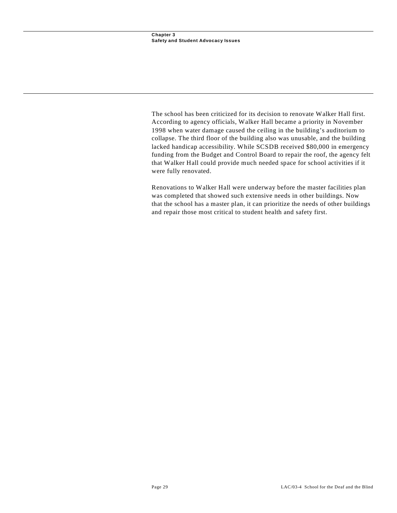The school has been criticized for its decision to renovate Walker Hall first. According to agency officials, Walker Hall became a priority in November 1998 when water damage caused the ceiling in the building's auditorium to collapse. The third floor of the building also was unusable, and the building lacked handicap accessibility. While SCSDB received \$80,000 in emergency funding from the Budget and Control Board to repair the roof, the agency felt that Walker Hall could provide much needed space for school activities if it were fully renovated.

Renovations to Walker Hall were underway before the master facilities plan was completed that showed such extensive needs in other buildings. Now that the school has a master plan, it can prioritize the needs of other buildings and repair those most critical to student health and safety first.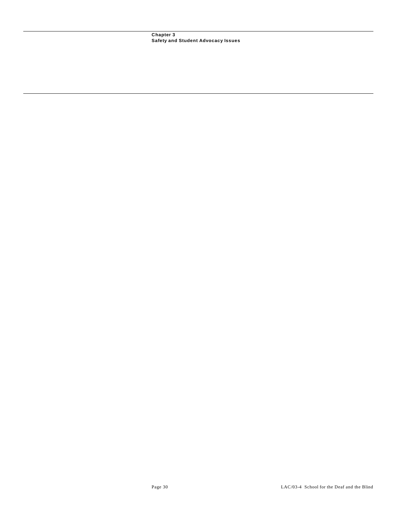**Chapter 3 Safety and Student Advocacy Issues**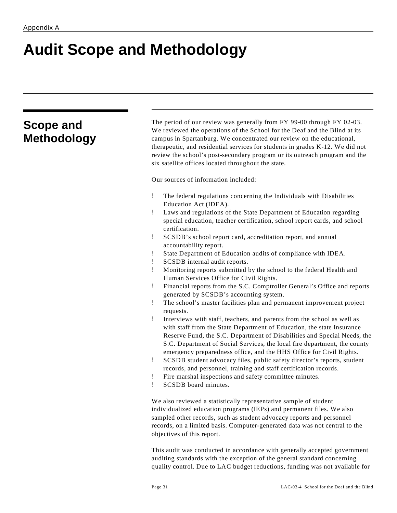# **Audit Scope and Methodology**

| Scope and<br><b>Methodology</b> | The period of our review was generally from FY 99-00 through FY 02-03.<br>We reviewed the operations of the School for the Deaf and the Blind at its<br>campus in Spartanburg. We concentrated our review on the educational,<br>therapeutic, and residential services for students in grades K-12. We did not<br>review the school's post-secondary program or its outreach program and the<br>six satellite offices located throughout the state.                                                                                                                                                                                                                                                                                                                                                                                                                                                                                                                                                                                                                                                                                                                                                                                                                                                                                                                                                                                                                                                                                                                                                                                                                                                                                                                                                               |
|---------------------------------|-------------------------------------------------------------------------------------------------------------------------------------------------------------------------------------------------------------------------------------------------------------------------------------------------------------------------------------------------------------------------------------------------------------------------------------------------------------------------------------------------------------------------------------------------------------------------------------------------------------------------------------------------------------------------------------------------------------------------------------------------------------------------------------------------------------------------------------------------------------------------------------------------------------------------------------------------------------------------------------------------------------------------------------------------------------------------------------------------------------------------------------------------------------------------------------------------------------------------------------------------------------------------------------------------------------------------------------------------------------------------------------------------------------------------------------------------------------------------------------------------------------------------------------------------------------------------------------------------------------------------------------------------------------------------------------------------------------------------------------------------------------------------------------------------------------------|
|                                 | Our sources of information included:                                                                                                                                                                                                                                                                                                                                                                                                                                                                                                                                                                                                                                                                                                                                                                                                                                                                                                                                                                                                                                                                                                                                                                                                                                                                                                                                                                                                                                                                                                                                                                                                                                                                                                                                                                              |
|                                 | Ţ<br>The federal regulations concerning the Individuals with Disabilities<br>Education Act (IDEA).<br>Laws and regulations of the State Department of Education regarding<br>Ţ<br>special education, teacher certification, school report cards, and school<br>certification.<br>SCSDB's school report card, accreditation report, and annual<br>Ţ<br>accountability report.<br>State Department of Education audits of compliance with IDEA.<br>Ţ<br>SCSDB internal audit reports.<br>Ţ<br>Monitoring reports submitted by the school to the federal Health and<br>Ţ<br>Human Services Office for Civil Rights.<br>Financial reports from the S.C. Comptroller General's Office and reports<br>Ţ<br>generated by SCSDB's accounting system.<br>The school's master facilities plan and permanent improvement project<br>Ţ<br>requests.<br>Ţ<br>Interviews with staff, teachers, and parents from the school as well as<br>with staff from the State Department of Education, the state Insurance<br>Reserve Fund, the S.C. Department of Disabilities and Special Needs, the<br>S.C. Department of Social Services, the local fire department, the county<br>emergency preparedness office, and the HHS Office for Civil Rights.<br>SCSDB student advocacy files, public safety director's reports, student<br>Ţ<br>records, and personnel, training and staff certification records.<br>Ţ<br>Fire marshal inspections and safety committee minutes.<br>SCSDB board minutes.<br>We also reviewed a statistically representative sample of student<br>individualized education programs (IEPs) and permanent files. We also<br>sampled other records, such as student advocacy reports and personnel<br>records, on a limited basis. Computer-generated data was not central to the<br>objectives of this report. |
|                                 | This audit was conducted in accordance with generally accepted government<br>auditing standards with the exception of the general standard concerning                                                                                                                                                                                                                                                                                                                                                                                                                                                                                                                                                                                                                                                                                                                                                                                                                                                                                                                                                                                                                                                                                                                                                                                                                                                                                                                                                                                                                                                                                                                                                                                                                                                             |

quality control. Due to LAC budget reductions, funding was not available for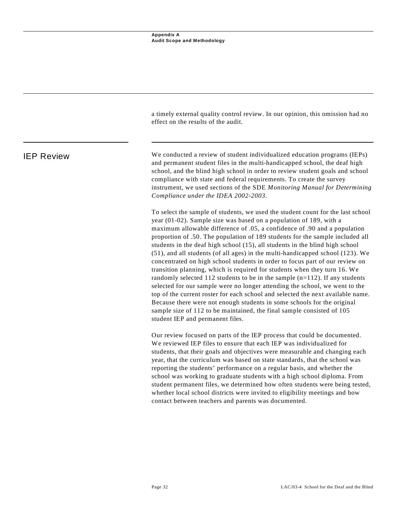a timely external quality control review. In our opinion, this omission had no effect on the results of the audit.

IEP Review We conducted a review of student individualized education programs (IEPs) and permanent student files in the multi-handicapped school, the deaf high school, and the blind high school in order to review student goals and school compliance with state and federal requirements. To create the survey instrument, we used sections of the SDE *Monitoring Manual for Determining Compliance under the IDEA 2002-2003*.

> To select the sample of students, we used the student count for the last school year (01-02). Sample size was based on a population of 189, with a maximum allowable difference of .05, a confidence of .90 and a population proportion of .50. The population of 189 students for the sample included all students in the deaf high school (15), all students in the blind high school (51), and all students (of all ages) in the multi-handicapped school (123). We concentrated on high school students in order to focus part of our review on transition planning, which is required for students when they turn 16. We randomly selected 112 students to be in the sample  $(n=112)$ . If any students selected for our sample were no longer attending the school, we went to the top of the current roster for each school and selected the next available name. Because there were not enough students in some schools for the original sample size of 112 to be maintained, the final sample consisted of 105 student IEP and permanent files.

> Our review focused on parts of the IEP process that could be documented. We reviewed IEP files to ensure that each IEP was individualized for students, that their goals and objectives were measurable and changing each year, that the curriculum was based on state standards, that the school was reporting the students' performance on a regular basis, and whether the school was working to graduate students with a high school diploma. From student permanent files, we determined how often students were being tested, whether local school districts were invited to eligibility meetings and how contact between teachers and parents was documented.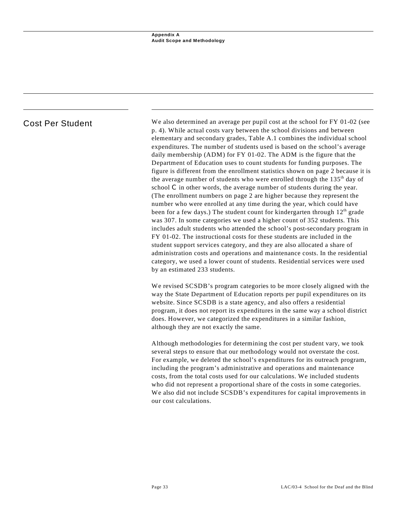Cost Per Student We also determined an average per pupil cost at the school for FY 01-02 (see p. 4). While actual costs vary between the school divisions and between elementary and secondary grades, Table A.1 combines the individual school expenditures. The number of students used is based on the school's average daily membership (ADM) for FY 01-02. The ADM is the figure that the Department of Education uses to count students for funding purposes. The figure is different from the enrollment statistics shown on page 2 because it is the average number of students who were enrolled through the  $135<sup>th</sup>$  day of school C in other words, the average number of students during the year. (The enrollment numbers on page 2 are higher because they represent the number who were enrolled at any time during the year, which could have been for a few days.) The student count for kindergarten through  $12<sup>th</sup>$  grade was 307. In some categories we used a higher count of 352 students. This includes adult students who attended the school's post-secondary program in FY 01-02. The instructional costs for these students are included in the student support services category, and they are also allocated a share of administration costs and operations and maintenance costs. In the residential category, we used a lower count of students. Residential services were used by an estimated 233 students.

> We revised SCSDB's program categories to be more closely aligned with the way the State Department of Education reports per pupil expenditures on its website. Since SCSDB is a state agency, and also offers a residential program, it does not report its expenditures in the same way a school district does. However, we categorized the expenditures in a similar fashion, although they are not exactly the same.

Although methodologies for determining the cost per student vary, we took several steps to ensure that our methodology would not overstate the cost. For example, we deleted the school's expenditures for its outreach program, including the program's administrative and operations and maintenance costs, from the total costs used for our calculations. We included students who did not represent a proportional share of the costs in some categories. We also did not include SCSDB's expenditures for capital improvements in our cost calculations.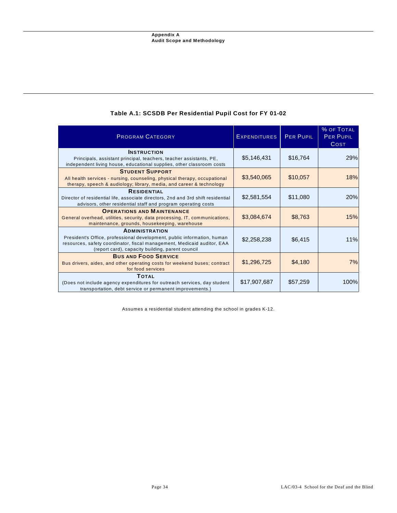| <b>PROGRAM CATEGORY</b>                                                                                                                                                                                                         | <b>EXPENDITURES</b> | <b>PER PUPIL</b> | <b>% OF TOTAL</b><br><b>PER PUPIL</b><br><b>COST</b> |
|---------------------------------------------------------------------------------------------------------------------------------------------------------------------------------------------------------------------------------|---------------------|------------------|------------------------------------------------------|
| <b>INSTRUCTION</b><br>Principals, assistant principal, teachers, teacher assistants, PE,<br>independent living house, educational supplies, other classroom costs                                                               | \$5,146,431         | \$16,764         | 29%                                                  |
| <b>STUDENT SUPPORT</b><br>All health services - nursing, counseling, physical therapy, occupational<br>therapy, speech & audiology; library, media, and career & technology                                                     | \$3,540,065         | \$10,057         | 18%                                                  |
| <b>RESIDENTIAL</b><br>Director of residential life, associate directors, 2nd and 3rd shift residential<br>advisors, other residential staff and program operating costs                                                         | \$2,581,554         | \$11,080         | 20%                                                  |
| <b>OPERATIONS AND MAINTENANCE</b><br>General overhead, utilities, security, data processing, IT, communications,<br>maintenance, grounds, housekeeping, warehouse                                                               | \$3,084,674         | \$8,763          | 15%                                                  |
| <b>ADMINISTRATION</b><br>President's Office, professional development, public information, human<br>resources, safety coordinator, fiscal management, Medicaid auditor, EAA<br>(report card), capacity building, parent council | \$2,258,238         | \$6,415          | 11%                                                  |
| <b>BUS AND FOOD SERVICE</b><br>Bus drivers, aides, and other operating costs for weekend buses; contract<br>for food services                                                                                                   | \$1,296,725         | \$4,180          | 7%                                                   |
| <b>TOTAL</b><br>(Does not include agency expenditures for outreach services, day student<br>transportation, debt service or permanent improvements.)                                                                            | \$17,907,687        | \$57,259         | 100%                                                 |

#### **Table A.1: SCSDB Per Residential Pupil Cost for FY 01-02**

Assumes a residential student attending the school in grades K-12.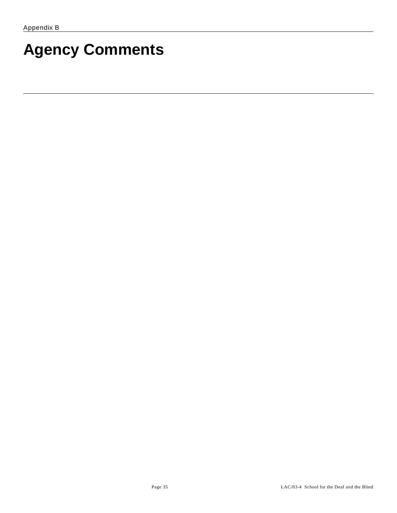# **Agency Comments**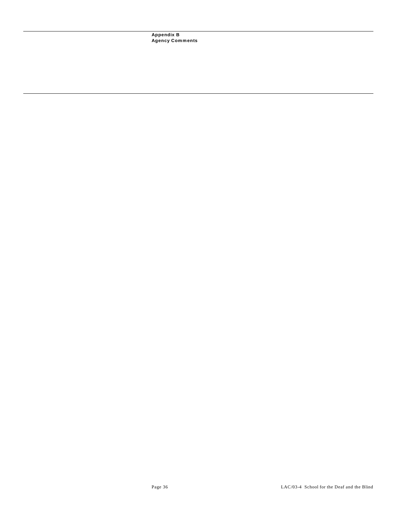**Appendix B Agency Comments**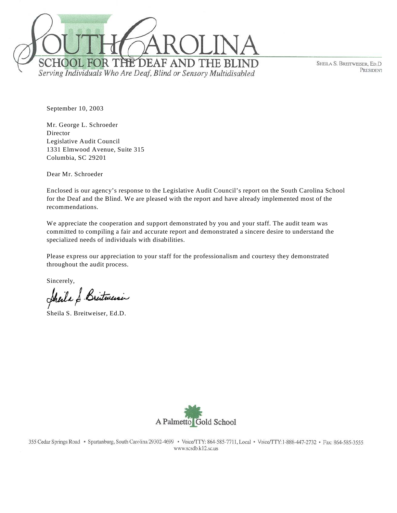

SHEILA S. BREITWEISER, ED.D. PRESIDENT

September 10, 2003

Mr. George L. Schroeder Director Legislative Audit Council 1331 Elmwood Avenue, Suite 315 Columbia, SC 29201

Dear Mr. Schroeder

Enclosed is our agency's response to the Legislative Audit Council's report on the South Carolina School for the Deaf and the Blind. We are pleased with the report and have already implemented most of the recommendations.

We appreciate the cooperation and support demonstrated by you and your staff. The audit team was committed to compiling a fair and accurate report and demonstrated a sincere desire to understand the specialized needs of individuals with disabilities.

Please express our appreciation to your staff for the professionalism and courtesy they demonstrated throughout the audit process.

Sincerely,

Iheile & Britwein

Sheila S. Breitweiser, Ed.D.

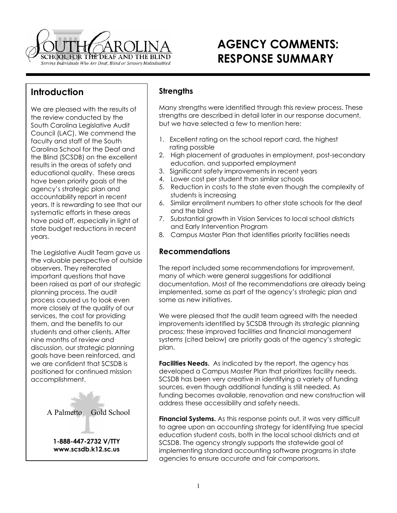

# **AGENCY COMMENTS: RESPONSE SUMMARY**

## **Introduction**

We are pleased with the results of the review conducted by the South Carolina Legislative Audit Council (LAC). We commend the faculty and staff of the South Carolina School for the Deaf and the Blind (SCSDB) on the excellent results in the areas of safety and educational quality. These areas have been priority goals of the agency's strategic plan and accountability report in recent years. It is rewarding to see that our systematic efforts in these areas have paid off, especially in light of state budget reductions in recent years.

The Legislative Audit Team gave us the valuable perspective of outside observers. They reiterated important questions that have been raised as part of our strategic planning process. The audit process caused us to look even more closely at the quality of our services, the cost for providing them, and the benefits to our students and other clients. After nine months of review and discussion, our strategic planning goals have been reinforced, and we are confident that SCSDB is positioned for continued mission accomplishment.



### **Strengths**

Many strengths were identified through this review process. These strengths are described in detail later in our response document, but we have selected a few to mention here:

- 1. Excellent rating on the school report card, the highest rating possible
- 2. High placement of graduates in employment, post-secondary education, and supported employment
- 3. Significant safety improvements in recent years
- 4. Lower cost per student than similar schools
- 5. Reduction in costs to the state even though the complexity of students is increasing
- 6. Similar enrollment numbers to other state schools for the deaf and the blind
- 7. Substantial growth in Vision Services to local school districts and Early Intervention Program
- 8. Campus Master Plan that identifies priority facilities needs

#### **Recommendations**

The report included some recommendations for improvement, many of which were general suggestions for additional documentation. Most of the recommendations are already being implemented, some as part of the agency's strategic plan and some as new initiatives.

We were pleased that the audit team agreed with the needed improvements identified by SCSDB through its strategic planning process; these improved facilities and financial management systems (cited below) are priority goals of the agency's strategic plan.

**Facilities Needs.** As indicated by the report, the agency has developed a Campus Master Plan that prioritizes facility needs. SCSDB has been very creative in identifying a variety of funding sources, even though additional funding is still needed. As funding becomes available, renovation and new construction will address these accessibility and safety needs.

**Financial Systems.** As this response points out, it was very difficult to agree upon an accounting strategy for identifying true special education student costs, both in the local school districts and at SCSDB. The agency strongly supports the statewide goal of implementing standard accounting software programs in state agencies to ensure accurate and fair comparisons.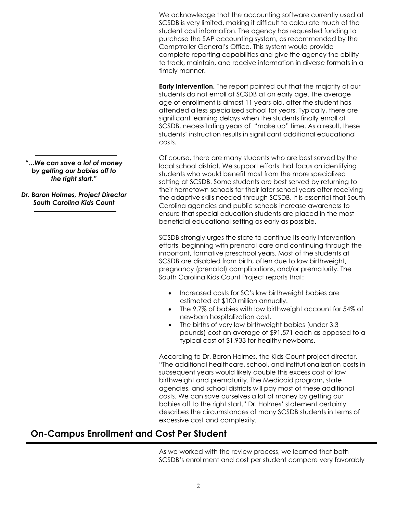We acknowledge that the accounting software currently used at SCSDB is very limited, making it difficult to calculate much of the student cost information. The agency has requested funding to purchase the SAP accounting system, as recommended by the Comptroller General's Office. This system would provide complete reporting capabilities and give the agency the ability to track, maintain, and receive information in diverse formats in a timely manner.

**Early Intervention.** The report pointed out that the majority of our students do not enroll at SCSDB at an early age. The average age of enrollment is almost 11 years old, after the student has attended a less specialized school for years. Typically, there are significant learning delays when the students finally enroll at SCSDB, necessitating years of "make up" time. As a result, these students' instruction results in significant additional educational costs.

Of course, there are many students who are best served by the local school district. We support efforts that focus on identifying students who would benefit most from the more specialized setting at SCSDB. Some students are best served by returning to their hometown schools for their later school years after receiving the adaptive skills needed through SCSDB. It is essential that South Carolina agencies and public schools increase awareness to ensure that special education students are placed in the most beneficial educational setting as early as possible.

SCSDB strongly urges the state to continue its early intervention efforts, beginning with prenatal care and continuing through the important, formative preschool years. Most of the students at SCSDB are disabled from birth, often due to low birthweight, pregnancy (prenatal) complications, and/or prematurity. The South Carolina Kids Count Project reports that:

- Increased costs for SC's low birthweight babies are estimated at \$100 million annually.
- The 9.7% of babies with low birthweight account for 54% of newborn hospitalization cost.
- The births of very low birthweight babies (under 3.3 pounds) cost an average of \$91,571 each as opposed to a typical cost of \$1,933 for healthy newborns.

According to Dr. Baron Holmes, the Kids Count project director, "The additional healthcare, school, and institutionalization costs in subsequent years would likely double this excess cost of low birthweight and prematurity. The Medicaid program, state agencies, and school districts will pay most of these additional costs. We can save ourselves a lot of money by getting our babies off to the right start." Dr. Holmes' statement certainly describes the circumstances of many SCSDB students in terms of excessive cost and complexity.

### **On-Campus Enrollment and Cost Per Student**

As we worked with the review process, we learned that both SCSDB's enrollment and cost per student compare very favorably

*"…We can save a lot of money by getting our babies off to the right start."* 

*Dr. Baron Holmes, Project Director South Carolina Kids Count*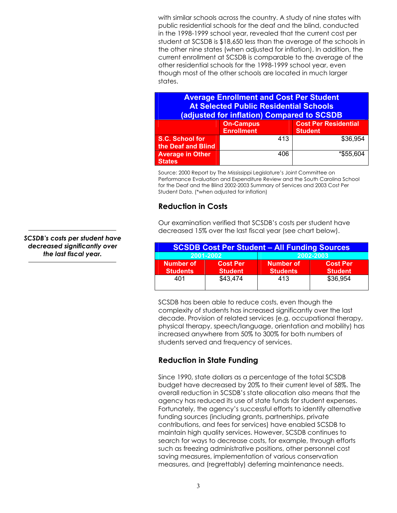with similar schools across the country. A study of nine states with public residential schools for the deaf and the blind, conducted in the 1998-1999 school year, revealed that the current cost per student at SCSDB is \$18,650 less than the average of the schools in the other nine states (when adjusted for inflation). In addition, the current enrollment at SCSDB is comparable to the average of the other residential schools for the 1998-1999 school year, even though most of the other schools are located in much larger states.

#### **Average Enrollment and Cost Per Student At Selected Public Residential Schools (adjusted for inflation) Compared to SCSDB**

|                                              | <b>On-Campus</b><br><b>Enrollment</b> | <b>Cost Per Residential</b><br><b>Student</b> |  |
|----------------------------------------------|---------------------------------------|-----------------------------------------------|--|
| <b>S.C. School for</b><br>the Deaf and Blind | 413                                   | \$36.954                                      |  |
| <b>Average in Other</b><br><b>States</b>     | 406                                   | *\$55,604                                     |  |

Source: 2000 Report by The Mississippi Legislature's Joint Committee on Performance Evaluation and Expenditure Review and the South Carolina School for the Deaf and the Blind 2002-2003 Summary of Services and 2003 Cost Per Student Data. (\*when adjusted for inflation)

#### **Reduction in Costs**

Our examination verified that SCSDB's costs per student have decreased 15% over the last fiscal year (see chart below).

| <b>SCSDB Cost Per Student - All Funding Sources</b> |                                   |                              |                                   |  |
|-----------------------------------------------------|-----------------------------------|------------------------------|-----------------------------------|--|
| 2001-2002                                           |                                   | 2002-2003                    |                                   |  |
| Number of<br><b>Students</b>                        | <b>Cost Per</b><br><b>Student</b> | Number of<br><b>Students</b> | <b>Cost Per</b><br><b>Student</b> |  |
| 401                                                 | \$43,474                          | 413                          | \$36,954                          |  |

SCSDB has been able to reduce costs, even though the complexity of students has increased significantly over the last decade. Provision of related services (e.g. occupational therapy, physical therapy, speech/language, orientation and mobility) has increased anywhere from 50% to 300% for both numbers of students served and frequency of services.

### **Reduction in State Funding**

Since 1990, state dollars as a percentage of the total SCSDB budget have decreased by 20% to their current level of 58%. The overall reduction in SCSDB's state allocation also means that the agency has reduced its use of state funds for student expenses. Fortunately, the agency's successful efforts to identify alternative funding sources (including grants, partnerships, private contributions, and fees for services) have enabled SCSDB to maintain high quality services. However, SCSDB continues to search for ways to decrease costs, for example, through efforts such as freezing administrative positions, other personnel cost saving measures, implementation of various conservation measures, and (regrettably) deferring maintenance needs.

*SCSDB's costs per student have decreased significantly over the last fiscal year.*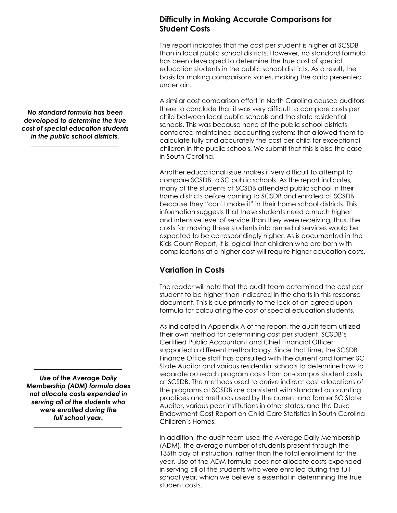#### **Difficulty in Making Accurate Comparisons for Student Costs**

The report indicates that the cost per student is higher at SCSDB than in local public school districts. However, no standard formula has been developed to determine the true cost of special education students in the public school districts. As a result, the basis for making comparisons varies, making the data presented uncertain.

A similar cost comparison effort in North Carolina caused auditors there to conclude that it was very difficult to compare costs per child between local public schools and the state residential schools. This was because none of the public school districts contacted maintained accounting systems that allowed them to calculate fully and accurately the cost per child for exceptional children in the public schools. We submit that this is also the case in South Carolina.

Another educational issue makes it very difficult to attempt to compare SCSDB to SC public schools. As the report indicates, many of the students at SCSDB attended public school in their home districts before coming to SCSDB and enrolled at SCSDB because they "can't make it" in their home school districts. This information suggests that these students need a much higher and intensive level of service than they were receiving; thus, the costs for moving these students into remedial services would be expected to be correspondingly higher. As is documented in the Kids Count Report, it is logical that children who are born with complications at a higher cost will require higher education costs.

### **Variation in Costs**

The reader will note that the audit team determined the cost per student to be higher than indicated in the charts in this response document. This is due primarily to the lack of an agreed upon formula for calculating the cost of special education students.

As indicated in Appendix A of the report, the audit team utilized their own method for determining cost per student. SCSDB's Certified Public Accountant and Chief Financial Officer supported a different methodology. Since that time, the SCSDB Finance Office staff has consulted with the current and former SC State Auditor and various residential schools to determine how to separate outreach program costs from on-campus student costs at SCSDB. The methods used to derive indirect cost allocations of the programs at SCSDB are consistent with standard accounting practices and methods used by the current and former SC State Auditor, various peer institutions in other states, and the Duke Endowment Cost Report on Child Care Statistics in South Carolina Children's Homes.

4 student costs. In addition, the audit team used the Average Daily Membership (ADM), the average number of students present through the 135th day of instruction, rather than the total enrollment for the year. Use of the ADM formula does not allocate costs expended in serving all of the students who were enrolled during the full school year, which we believe is essential in determining the true

*No standard formula has been developed to determine the true cost of special education students in the public school districts.* 

*Use of the Average Daily Membership (ADM) formula does not allocate costs expended in serving all of the students who were enrolled during the full school year.*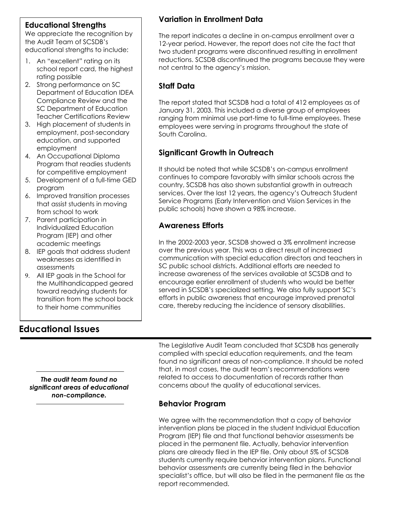#### **Educational Strengths**

We appreciate the recognition by the Audit Team of SCSDB's educational strengths to include:

- 1. An "excellent" rating on its school report card, the highest rating possible
- 2. Strong performance on SC Department of Education IDEA Compliance Review and the SC Department of Education Teacher Certifications Review
- 3. High placement of students in employment, post-secondary education, and supported employment
- 4. An Occupational Diploma Program that readies students for competitive employment
- 5. Development of a full-time GED program
- 6. Improved transition processes that assist students in moving from school to work
- 7. Parent participation in Individualized Education Program (IEP) and other academic meetings
- 8. IEP goals that address student weaknesses as identified in assessments
- 9. All IEP goals in the School for the Multihandicapped geared toward readying students for transition from the school back to their home communities

## **Educational Issues**

*The audit team found no significant areas of educational non-compliance.* 

#### **Variation in Enrollment Data**

The report indicates a decline in on-campus enrollment over a 12-year period. However, the report does not cite the fact that two student programs were discontinued resulting in enrollment reductions. SCSDB discontinued the programs because they were not central to the agency's mission.

#### **Staff Data**

The report stated that SCSDB had a total of 412 employees as of January 31, 2003. This included a diverse group of employees ranging from minimal use part-time to full-time employees. These employees were serving in programs throughout the state of South Carolina.

#### **Significant Growth in Outreach**

It should be noted that while SCSDB's on-campus enrollment continues to compare favorably with similar schools across the country, SCSDB has also shown substantial growth in outreach services. Over the last 12 years, the agency's Outreach Student Service Programs (Early Intervention and Vision Services in the public schools) have shown a 98% increase.

### **Awareness Efforts**

In the 2002-2003 year, SCSDB showed a 3% enrollment increase over the previous year. This was a direct result of increased communication with special education directors and teachers in SC public school districts. Additional efforts are needed to increase awareness of the services available at SCSDB and to encourage earlier enrollment of students who would be better served in SCSDB's specialized setting. We also fully support SC's efforts in public awareness that encourage improved prenatal care, thereby reducing the incidence of sensory disabilities.

The Legislative Audit Team concluded that SCSDB has generally complied with special education requirements, and the team found no significant areas of non-compliance. It should be noted that, in most cases, the audit team's recommendations were related to access to documentation of records rather than concerns about the quality of educational services.

#### **Behavior Program**

5 report recommended. We agree with the recommendation that a copy of behavior intervention plans be placed in the student Individual Education Program (IEP) file and that functional behavior assessments be placed in the permanent file. Actually, behavior intervention plans are already filed in the IEP file. Only about 5% of SCSDB students currently require behavior intervention plans. Functional behavior assessments are currently being filed in the behavior specialist's office, but will also be filed in the permanent file as the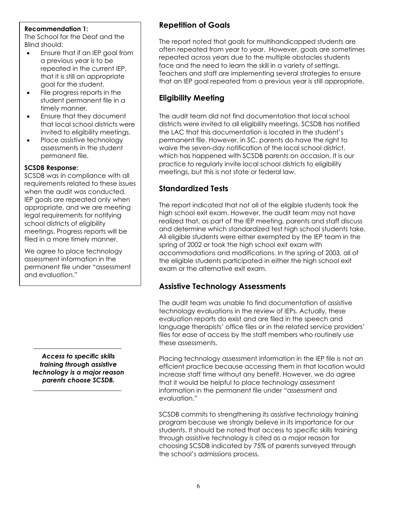#### **Recommendation 1:**

The School for the Deaf and the Blind should:

- Ensure that if an IEP goal from a previous year is to be repeated in the current IEP, that it is still an appropriate goal for the student.
- File progress reports in the student permanent file in a timely manner.
- Ensure that they document that local school districts were invited to eligibility meetings.
- Place assistive technology assessments in the student permanent file.

#### **SCSDB Response:**

SCSDB was in compliance with all requirements related to these issues when the audit was conducted. IEP goals are repeated only when appropriate, and we are meeting legal requirements for notifying school districts of eligibility meetings. Progress reports will be filed in a more timely manner.

We agree to place technology assessment information in the permanent file under "assessment and evaluation."

*Access to specific skills training through assistive technology is a major reason parents choose SCSDB.* 

### **Repetition of Goals**

The report noted that goals for multihandicapped students are often repeated from year to year. However, goals are sometimes repeated across years due to the multiple obstacles students face and the need to learn the skill in a variety of settings. Teachers and staff are implementing several strategies to ensure that an IEP goal repeated from a previous year is still appropriate.

### **Eligibility Meeting**

The audit team did not find documentation that local school districts were invited to all eligibility meetings. SCSDB has notified the LAC that this documentation is located in the student's permanent file. However, in SC, parents do have the right to waive the seven-day notification of the local school district, which has happened with SCSDB parents on occasion. It is our practice to regularly invite local school districts to eligibility meetings, but this is not state or federal law.

### **Standardized Tests**

The report indicated that not all of the eligible students took the high school exit exam. However, the audit team may not have realized that, as part of the IEP meeting, parents and staff discuss and determine which standardized test high school students take. All eligible students were either exempted by the IEP team in the spring of 2002 or took the high school exit exam with accommodations and modifications. In the spring of 2003, all of the eligible students participated in either the high school exit exam or the alternative exit exam.

#### **Assistive Technology Assessments**

The audit team was unable to find documentation of assistive technology evaluations in the review of IEPs. Actually, these evaluation reports do exist and are filed in the speech and language therapists' office files or in the related service providers' files for ease of access by the staff members who routinely use these assessments.

Placing technology assessment information in the IEP file is not an efficient practice because accessing them in that location would increase staff time without any benefit. However, we do agree that it would be helpful to place technology assessment information in the permanent file under "assessment and evaluation."

SCSDB commits to strengthening its assistive technology training program because we strongly believe in its importance for our students. It should be noted that access to specific skills training through assistive technology is cited as a major reason for choosing SCSDB indicated by 75% of parents surveyed through the school's admissions process.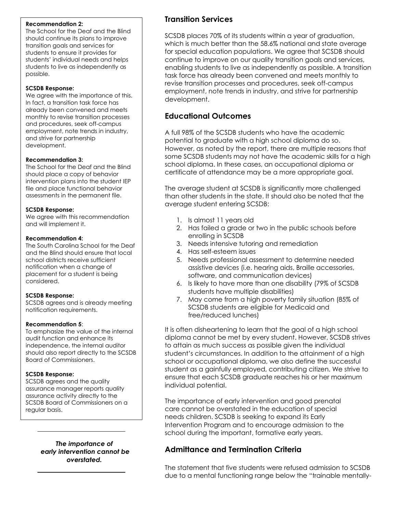#### **Recommendation 2:**

The School for the Deaf and the Blind should continue its plans to improve transition goals and services for students to ensure it provides for students' individual needs and helps students to live as independently as possible.

#### **SCSDB Response:**

 development. We agree with the importance of this. In fact, a transition task force has already been convened and meets monthly to revise transition processes and procedures, seek off-campus employment, note trends in industry, and strive for partnership

#### **Recommendation 3:**

The School for the Deaf and the Blind should place a copy of behavior intervention plans into the student IEP file and place functional behavior assessments in the permanent file.

#### **SCSDB Response:**

We agree with this recommendation and will implement it.

#### **Recommendation 4:**

The South Carolina School for the Deaf and the Blind should ensure that local school districts receive sufficient notification when a change of placement for a student is being considered.

#### **SCSDB Response:**

SCSDB agrees and is already meeting notification requirements.

#### **Recommendation 5**:

To emphasize the value of the internal audit function and enhance its independence, the internal auditor should also report directly to the SCSDB Board of Commissioners.

#### **SCSDB Response:**

SCSDB agrees and the quality assurance manager reports quality assurance activity directly to the SCSDB Board of Commissioners on a regular basis.

> *The importance of early intervention cannot be overstated.*

#### **Transition Services**

SCSDB places 70% of its students within a year of graduation, which is much better than the 58.6% national and state average for special education populations. We agree that SCSDB should continue to improve on our quality transition goals and services, enabling students to live as independently as possible. A transition task force has already been convened and meets monthly to revise transition processes and procedures, seek off-campus employment, note trends in industry, and strive for partnership development.

#### **Educational Outcomes**

A full 98% of the SCSDB students who have the academic potential to graduate with a high school diploma do so. However, as noted by the report, there are multiple reasons that some SCSDB students may not have the academic skills for a high school diploma. In these cases, an occupational diploma or certificate of attendance may be a more appropriate goal.

The average student at SCSDB is significantly more challenged than other students in the state. It should also be noted that the average student entering SCSDB:

- 1. Is almost 11 years old
- 2. Has failed a grade or two in the public schools before enrolling in SCSDB
- 3. Needs intensive tutoring and remediation
- 4. Has self-esteem issues
- 5. Needs professional assessment to determine needed assistive devices (i.e. hearing aids, Braille accessories, software, and communication devices)
- 6. Is likely to have more than one disability (79% of SCSDB students have multiple disabilities)
- 7. May come from a high poverty family situation (85% of SCSDB students are eligible for Medicaid and free/reduced lunches)

It is often disheartening to learn that the goal of a high school diploma cannot be met by every student. However, SCSDB strives to attain as much success as possible given the individual student's circumstances. In addition to the attainment of a high school or occupational diploma, we also define the successful student as a gainfully employed, contributing citizen. We strive to ensure that each SCSDB graduate reaches his or her maximum individual potential.

The importance of early intervention and good prenatal care cannot be overstated in the education of special needs children. SCSDB is seeking to expand its Early Intervention Program and to encourage admission to the school during the important, formative early years.

#### **Admittance and Termination Criteria**

The statement that five students were refused admission to SCSDB due to a mental functioning range below the "trainable mentally-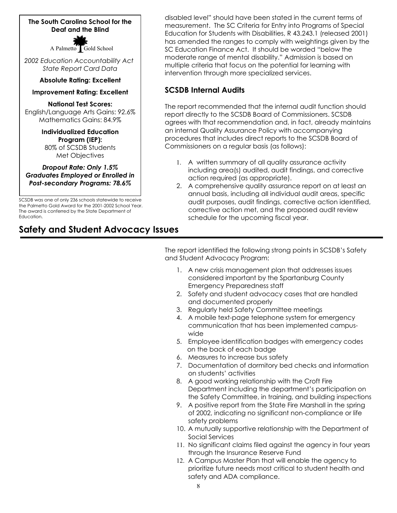#### **The South Carolina School for the Deaf and the Blind**

A Palmetto<sup>T</sup> Gold School

*2002 Education Accountability Act State Report Card Data* 

**Absolute Rating: Excellent** 

**Improvement Rating: Excellent** 

**National Test Scores:**  English/Language Arts Gains: 92.6% Mathematics Gains: 84.9%

> **Individualized Education Program (IEP):**  80% of SCSDB Students Met Objectives

#### *Dropout Rate: Only 1.5% Graduates Employed or Enrolled in Post-secondary Programs: 78.6%*

SCSDB was one of only 236 schools statewide to receive the Palmetto Gold Award for the 2001-2002 School Year. The award is conferred by the State Department of Education.

#### *Safety and Student Advocacy Issues*  **Safety and Student Advocacy Issues**

disabled level" should have been stated in the current terms of measurement. The SC Criteria for Entry into Programs of Special Education for Students with Disabilities, R 43.243.1 (released 2001) has amended the ranges to comply with weightings given by the SC Education Finance Act. It should be worded "below the moderate range of mental disability." Admission is based on multiple criteria that focus on the potential for learning with intervention through more specialized services.

### **SCSDB Internal Audits**

The report recommended that the internal audit function should report directly to the SCSDB Board of Commissioners. SCSDB agrees with that recommendation and, in fact, already maintains an internal Quality Assurance Policy with accompanying procedures that includes direct reports to the SCSDB Board of Commissioners on a regular basis (as follows):

- 1. A written summary of all quality assurance activity including area(s) audited, audit findings, and corrective action required (as appropriate).
- 2. A comprehensive quality assurance report on at least an annual basis, including all individual audit areas, specific audit purposes, audit findings, corrective action identified, corrective action met, and the proposed audit review schedule for the upcoming fiscal year.

The report identified the following strong points in SCSDB's Safety and Student Advocacy Program:

- 1. A new crisis management plan that addresses issues considered important by the Spartanburg County Emergency Preparedness staff
- 2. Safety and student advocacy cases that are handled and documented properly
- 3. Regularly held Safety Committee meetings
- 4. A mobile text-page telephone system for emergency communication that has been implemented campuswide
- 5. Employee identification badges with emergency codes on the back of each badge
- 6. Measures to increase bus safety
- 7. Documentation of dormitory bed checks and information on students' activities
- 8. A good working relationship with the Croft Fire Department including the department's participation on the Safety Committee, in training, and building inspections
- 9. A positive report from the State Fire Marshall in the spring of 2002, indicating no significant non-compliance or life safety problems
- 10. A mutually supportive relationship with the Department of Social Services
- 11. No significant claims filed against the agency in four years through the Insurance Reserve Fund
- 12. A Campus Master Plan that will enable the agency to prioritize future needs most critical to student health and safety and ADA compliance.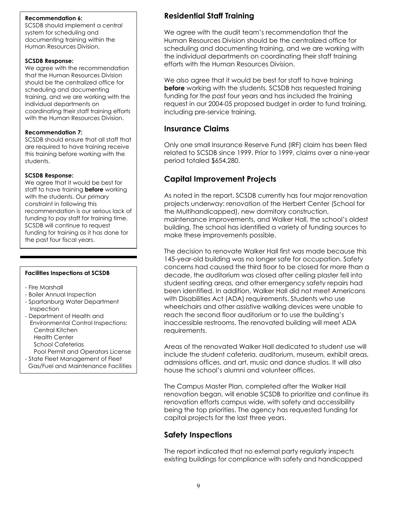#### **Recommendation 6:**

SCSDB should implement a central system for scheduling and documenting training within the Human Resources Division.

#### **SCSDB Response:**

We agree with the recommendation that the Human Resources Division should be the centralized office for scheduling and documenting training, and we are working with the individual departments on coordinating their staff training efforts with the Human Resources Division.

#### **Recommendation 7:**

SCSDB should ensure that all staff that are required to have training receive this training before working with the students.

#### **SCSDB Response:**

We agree that it would be best for staff to have training **before** working with the students. Our primary constraint in following this recommendation is our serious lack of funding to pay staff for training time. SCSDB will continue to request funding for training as it has done for the past four fiscal years.

#### **Facilities Inspections at SCSDB**

- Fire Marshall
- Boiler Annual Inspection
- Spartanburg Water Department Inspection
- Department of Health and Environmental Control Inspections: Central Kitchen Health Center School Cafeterias Pool Permit and Operators License
- State Fleet Management of Fleet Gas/Fuel and Maintenance Facilities

#### **Residential Staff Training**

We agree with the audit team's recommendation that the Human Resources Division should be the centralized office for scheduling and documenting training, and we are working with the individual departments on coordinating their staff training efforts with the Human Resources Division.

We also agree that it would be best for staff to have training **before** working with the students. SCSDB has requested training funding for the past four years and has included the training request in our 2004-05 proposed budget in order to fund training, including pre-service training.

#### **Insurance Claims**

Only one small Insurance Reserve Fund (IRF) claim has been filed related to SCSDB since 1999. Prior to 1999, claims over a nine-year period totaled \$654,280.

#### **Capital Improvement Projects**

As noted in the report, SCSDB currently has four major renovation projects underway: renovation of the Herbert Center (School for the Multihandicapped), new dormitory construction, maintenance improvements, and Walker Hall, the school's oldest building. The school has identified a variety of funding sources to make these improvements possible.

The decision to renovate Walker Hall first was made because this 145-year-old building was no longer safe for occupation. Safety concerns had caused the third floor to be closed for more than a decade, the auditorium was closed after ceiling plaster fell into student seating areas, and other emergency safety repairs had been identified. In addition, Walker Hall did not meet Americans with Disabilities Act (ADA) requirements. Students who use wheelchairs and other assistive walking devices were unable to reach the second floor auditorium or to use the building's inaccessible restrooms. The renovated building will meet ADA requirements.

Areas of the renovated Walker Hall dedicated to student use will include the student cafeteria, auditorium, museum, exhibit areas, admissions offices, and art, music and dance studios. It will also house the school's alumni and volunteer offices.

The Campus Master Plan, completed after the Walker Hall renovation began, will enable SCSDB to prioritize and continue its renovation efforts campus wide, with safety and accessibility being the top priorities. The agency has requested funding for capital projects for the last three years.

#### **Safety Inspections**

The report indicated that no external party regularly inspects existing buildings for compliance with safety and handicapped